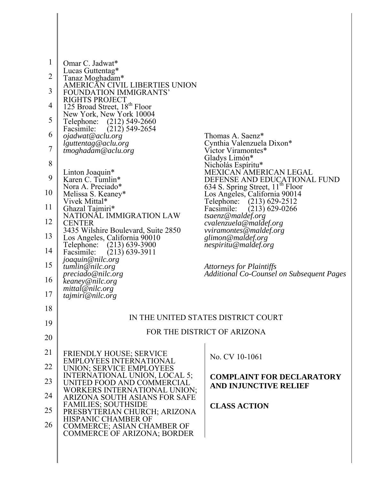| $\mathbf{1}$ | Omar C. Jadwat*                                                      |                                                                                                               |
|--------------|----------------------------------------------------------------------|---------------------------------------------------------------------------------------------------------------|
| 2            | Lucas Guttentag*<br>Tanaz Moghadam*                                  |                                                                                                               |
| 3            | AMERICÁN CIVIL LIBERTIES UNION                                       |                                                                                                               |
|              | FOUNDATION IMMIGRANTS'<br>RIGHTS PROJECT                             |                                                                                                               |
| 4            | 125 Broad Street, 18 <sup>th</sup> Floor<br>New York, New York 10004 |                                                                                                               |
| 5            | Telephone:<br>$(212)$ 549-2660<br>$(212)$ 549-2654<br>Facsimile:     |                                                                                                               |
| 6            | ojadwat@aclu.org<br>lguttentag@aclu.org                              | Thomas A. Saenz*<br>Cynthia Valenzuela Dixon*                                                                 |
| 7            | tmoghadam@aclu.org                                                   | Victor Viramontes*                                                                                            |
| 8            |                                                                      | Gladys Limón*<br>Nicholás Espíritu*                                                                           |
| 9            | Linton Joaquin*<br>Karen C. Tumlin*                                  | MEXICAN AMERICAN LEGAL                                                                                        |
| 10           | Nora A. Preciado*<br>Melissa S. Keaney*                              | DEFENSE AND EDUCATIONAL FUND<br>634 S. Spring Street, 11 <sup>th</sup> Floor<br>Los Angeles, California 90014 |
| 11           | Vivek Mittal*<br>Ghazal Tajmiri*                                     | $(213)$ 629-2512<br>Telephone:<br>$(213)$ 629-0266<br>Facsimile:                                              |
| 12           | NATIONĂL IMMIGRATION LAW<br><b>CENTER</b>                            | tsaenz@maldef.org<br>cvalenzuela@maldef.org                                                                   |
| 13           | 3435 Wilshire Boulevard, Suite 2850<br>Los Angeles, California 90010 | <i>vviramontes@maldef.org</i><br>glimon@maldef.org                                                            |
| 14           | $(213) 639 - 3900$<br>Telephone:                                     | nespiritu@maldef.org                                                                                          |
|              | $(213)$ 639-3911<br>Facsimile:<br>joaquin@nilc.org                   |                                                                                                               |
| 15           | tumlin@nilc.org<br>preciado@nilc.org                                 | Attorneys for Plaintiffs<br><b>Additional Co-Counsel on Subsequent Pages</b>                                  |
| 16           | keaney@nilc.org<br>mittal@nilc.org                                   |                                                                                                               |
| 17           | tajmiri@nilc.org                                                     |                                                                                                               |
| 18           |                                                                      |                                                                                                               |
| 19           |                                                                      | IN THE UNITED STATES DISTRICT COURT                                                                           |
| 20           |                                                                      | FOR THE DISTRICT OF ARIZONA                                                                                   |
| 21           | <b>FRIENDLY HOUSE; SERVICE</b>                                       |                                                                                                               |
| 22           | <b>EMPLOYEES INTERNATIONAL</b><br><b>UNION; SERVICE EMPLOYEES</b>    | No. CV 10-1061                                                                                                |
| 23           | INTERNATIONAL UNION, LOCAL 5;                                        | <b>COMPLAINT FOR DECLARATORY</b>                                                                              |
|              | UNITED FOOD AND COMMERCIAL<br>WORKERS INTERNATIONAL UNION;           | <b>AND INJUNCTIVE RELIEF</b>                                                                                  |
| 24           | ARIZONA SOUTH ASIANS FOR SAFE<br><b>FAMILIES; SOUTHSIDE</b>          | <b>CLASS ACTION</b>                                                                                           |
| 25           | PRESBYTERIAN CHURCH; ARIZONA<br>HISPANIC CHAMBER OF                  |                                                                                                               |
| 26           | COMMERCE; ASIAN CHAMBER OF<br><b>COMMERCE OF ARIZONA; BORDER</b>     |                                                                                                               |
|              |                                                                      |                                                                                                               |
|              |                                                                      |                                                                                                               |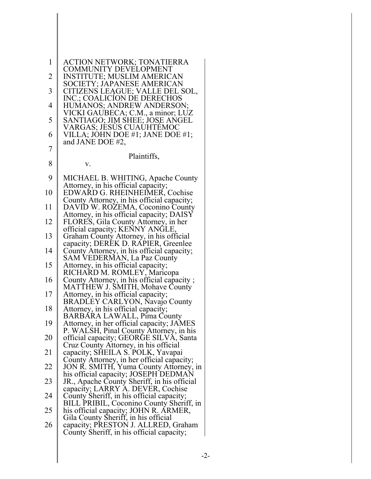| 1              | ACTION NETWORK; TONATIERRA                                                                                                |
|----------------|---------------------------------------------------------------------------------------------------------------------------|
| $\overline{2}$ | <b>COMMUNITY DEVELOPMENT</b><br><b>INSTITUTE; MUSLIM AMERICAN</b>                                                         |
| 3              | SOCIETY; JAPANESE AMERICAN<br>CITIZENS LEAGUE; VALLE DEL SOL,<br>INC.; COALICION DE DERECHOS                              |
| $\overline{4}$ | HUMANOS; ANDREW ANDERSON;                                                                                                 |
| 5              | VICKI GAUBECA; C.M., a minor; LUZ<br>SANTIAGO; JIM SHEE; JOSE ANGEL<br>VARGAS; JESÚS CUAÚHTÉMOC                           |
| 6              | VILLA; JOHN DOE #1; JANE DOE #1;<br>and JANE DOE #2,                                                                      |
| $\overline{7}$ | Plaintiffs,                                                                                                               |
| 8              | V.                                                                                                                        |
| 9              | MICHAEL B. WHITING, Apache County<br>Attorney, in his official capacity;                                                  |
| 10             | EDWARD G. RHEINHEIMER, Cochise<br>County Attorney, in his official capacity;                                              |
| 11             | DAVID W. ROZEMA, Coconino County<br>Attorney, in his official capacity; DAISY                                             |
| 12             | FLORES, Gila County Attorney, in her<br>official capacity; KENNY ANGLE,                                                   |
| 13             | Graham County Attorney, in his official<br>capacity; DEREK D. RAPIER, Greenlee                                            |
| 14             | County Attorney, in his official capacity;<br>SAM VEDERMAN, La Paz County                                                 |
| 15             | Attorney, in his official capacity;                                                                                       |
| 16             | RICHARD M. ROMLEY, Maricopa<br>County Attorney, in his official capacity;<br>MATTHEW J. SMITH, Mohave County              |
| 17             | Attorney, in his official capacity;<br>BRADLEY CARLYON, Navajo County                                                     |
| 18             | Attorney, in his official capacity;<br>BARBÁRA LAWALL, Pima County                                                        |
| 19             | Attorney, in her official capacity; JAMES<br>P. WALSH, Pinal County Attorney, in his                                      |
| 20             | official capacity; GEORGE SILVA, Santa<br>Cruz County Attorney, in his official                                           |
| 21             | capacity; SHEILA S. POLK, Yavapai<br>County Attorney, in her official capacity;<br>JON R. SMITH, Yuma County Attorney, in |
| 22             | his official capacity; JOSEPH DEDMAN                                                                                      |
| 23             | JR., Apache County Sheriff, in his official<br>capacity; LARRY A. DEVER, Cochise                                          |
| 24             | County Sheriff, in his official capacity;<br>BILL PRIBIL, Coconino County Sheriff, in                                     |
| 25             | his official capacity; JOHN R. ÁRMER,<br>Gila County Sheriff, in his official                                             |
| 26             | capacity; PRESTON J. ALLRED, Graham<br>County Sheriff, in his official capacity;                                          |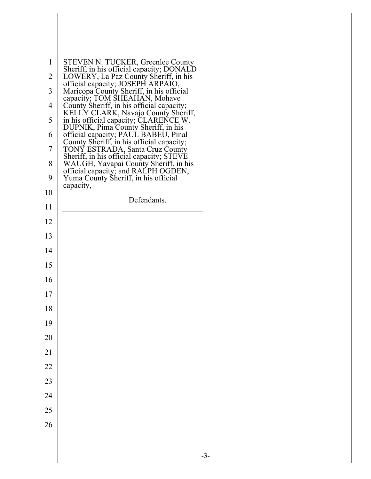| 1<br>2<br>3<br>$\overline{4}$<br>5<br>6<br>7<br>8<br>9<br>10<br>11<br>12<br>13<br>14<br>15<br>16<br>17 | <b>STEVEN N. TUCKER, Greenlee County</b><br>Sheriff, in his official capacity; DONALD<br>LOWERY, La Paz County Sheriff, in his<br>official capacity; JOSEPH ARPAIO,<br>Maricopa County Sheriff, in his official<br>capacity; TOM ŠHEAHÁN, Mohave<br>County Sheriff, in his official capacity;<br>KELLY CLARK, Navajo County Sheriff,<br>in his official capacity; CLARENCE W.<br>DUPNIK, Pima County Sheriff, in his<br>official capacity; PAUL BABEU, Pinal<br>County Sheriff, in his official capacity;<br>TONY ESTRADA, Santa Cruz County<br>Sheriff, in his official capacity; STEVE<br>WAUGH, Yavapai County Sheriff, in his<br>official capacity; and RALPH OGDEN,<br>Yuma County Sheriff, in his official<br>capacity,<br>Defendants. |
|--------------------------------------------------------------------------------------------------------|----------------------------------------------------------------------------------------------------------------------------------------------------------------------------------------------------------------------------------------------------------------------------------------------------------------------------------------------------------------------------------------------------------------------------------------------------------------------------------------------------------------------------------------------------------------------------------------------------------------------------------------------------------------------------------------------------------------------------------------------|
|                                                                                                        |                                                                                                                                                                                                                                                                                                                                                                                                                                                                                                                                                                                                                                                                                                                                              |
|                                                                                                        |                                                                                                                                                                                                                                                                                                                                                                                                                                                                                                                                                                                                                                                                                                                                              |
| 18                                                                                                     |                                                                                                                                                                                                                                                                                                                                                                                                                                                                                                                                                                                                                                                                                                                                              |
| 19<br>20                                                                                               |                                                                                                                                                                                                                                                                                                                                                                                                                                                                                                                                                                                                                                                                                                                                              |
| 21                                                                                                     |                                                                                                                                                                                                                                                                                                                                                                                                                                                                                                                                                                                                                                                                                                                                              |
| 22                                                                                                     |                                                                                                                                                                                                                                                                                                                                                                                                                                                                                                                                                                                                                                                                                                                                              |
| 23                                                                                                     |                                                                                                                                                                                                                                                                                                                                                                                                                                                                                                                                                                                                                                                                                                                                              |
| 24                                                                                                     |                                                                                                                                                                                                                                                                                                                                                                                                                                                                                                                                                                                                                                                                                                                                              |
| 25                                                                                                     |                                                                                                                                                                                                                                                                                                                                                                                                                                                                                                                                                                                                                                                                                                                                              |
| 26                                                                                                     |                                                                                                                                                                                                                                                                                                                                                                                                                                                                                                                                                                                                                                                                                                                                              |
|                                                                                                        |                                                                                                                                                                                                                                                                                                                                                                                                                                                                                                                                                                                                                                                                                                                                              |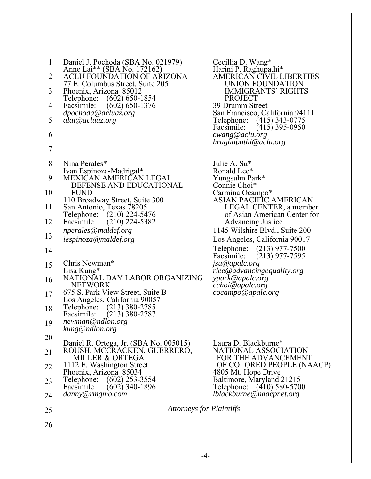| $\mathbf{1}$<br>$\overline{2}$ | Daniel J. Pochoda (SBA No. 021979)<br>Anne Lai** (SBA No. 172162)<br><b>ACLU FOUNDATION OF ARIZONA</b> | Cecillia D. Wang*<br>Harini P. Raghupathi*<br>AMERICAN CIVIL LIBERTIES   |
|--------------------------------|--------------------------------------------------------------------------------------------------------|--------------------------------------------------------------------------|
| 3                              | 77 E. Columbus Street, Suite 205<br>Phoenix, Arizona 85012                                             | UNION FOUNDATION<br><b>IMMIGRANTS' RIGHTS</b>                            |
| 4                              | Telephone: (602) 650-1854<br>$(602) 650 - 1376$<br>Facsimile:                                          | <b>PROJECT</b><br>39 Drumm Street                                        |
| 5                              | dpochoda@acluaz.org<br>alai@acluaz.org                                                                 | San Francisco, California 94111<br>$(415)$ 343-0775<br>Telephone:        |
| 6                              |                                                                                                        | $(415)$ 395-0950<br>Facsimile:<br>cwang@aclu.org<br>hraghupathi@aclu.org |
| $\overline{7}$                 |                                                                                                        |                                                                          |
| 8                              | Nina Perales*                                                                                          | Julie A. Su <sup>*</sup>                                                 |
| 9                              | Ivan Espinoza-Madrigal*<br>MEXICAN AMERICAN LEGAL                                                      | Ronald Lee*<br>Yungsuhn Park*                                            |
| 10                             | DEFENSE AND EDUCATIONAL<br><b>FUND</b>                                                                 | Connie Choi*<br>Carmina Ocampo*                                          |
| 11                             | 110 Broadway Street, Suite 300<br>San Antonio, Texas 78205                                             | ASIAN PACIFIC AMERICAN<br>LEGAL CENTER, a member                         |
| 12                             | Telephone: (210) 224-5476<br>$(210)$ 224-5382<br>Facsimile:                                            | of Asian American Center for<br><b>Advancing Justice</b>                 |
| 13                             | nperales@maldef.org<br>iespinoza@maldef.org                                                            | 1145 Wilshire Blvd., Suite 200<br>Los Angeles, California 90017          |
| 14                             |                                                                                                        | Telephone:<br>$(213)$ 977-7500<br>$(213)$ 977-7595<br>Facsimile:         |
| 15                             | Chris Newman*<br>Lisa Kung*                                                                            | jsu@apalc.org<br>rlee@advancingequality.org                              |
| 16                             | NATIONAL DAY LABOR ORGANIZING<br><b>NETWORK</b>                                                        | ypark@apalc.org<br>cchoi@apalc.org                                       |
| 17                             | 675 S. Park View Street, Suite B<br>Los Angeles, California 90057                                      | cocampo@apalc.org                                                        |
| 18                             | Telephone:<br>$(213)$ 380-2785<br>$(213)$ 380-2787<br>Facsimile:                                       |                                                                          |
| 19                             | newman@ndlon.org<br>kung@ndlon.org                                                                     |                                                                          |
| 20                             | Daniel R. Ortega, Jr. (SBA No. 005015)                                                                 | Laura D. Blackburne*                                                     |
| 21                             | ROUSH, MCCRACKEN, GUERRERO,<br><b>MILLER &amp; ORTEGA</b>                                              | NATIONAL ASSOCIATION<br>FOR THE ADVANCEMENT                              |
| 22                             | 1112 E. Washington Street<br>Phoenix, Arizona 85034                                                    | OF COLORED PEOPLE (NAACP)<br>4805 Mt. Hope Drive                         |
| 23                             | Telephone: (602) 253-3554<br>$(602)$ 340-1896<br>Facsimile:                                            | Baltimore, Maryland 21215<br>Telephone: (410) 580-5700                   |
| 24                             | danny@rmgmo.com                                                                                        | lblackburne@naacpnet.org                                                 |
| 25                             | <b>Attorneys for Plaintiffs</b>                                                                        |                                                                          |
| 26                             |                                                                                                        |                                                                          |
|                                |                                                                                                        |                                                                          |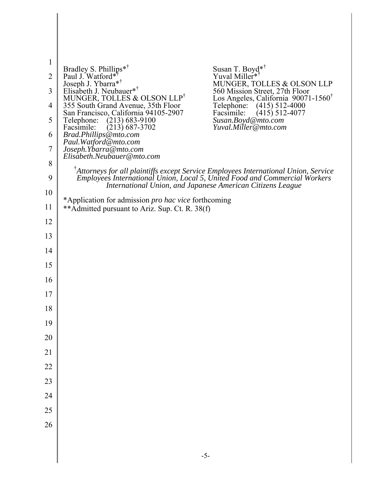| $\mathbf{1}$<br>$\overline{2}$<br>3<br>4<br>5<br>6<br>$\overline{7}$<br>8 | Susan T. Boyd <sup>**</sup><br>Bradley S. Phillips* <sup>†</sup><br>Paul J. Watford* <sup>†</sup><br>Yuval Miller <sup>*</sup><br>Joseph J. Ybarra* <sup>†</sup><br>Elisabeth J. Neubauer* <sup>†</sup><br>MUNGER, TOLLES & OLSON LLP<br>560 Mission Street, 27th Floor<br>MUNGER, TOLLES & OLSON LLP <sup>†</sup><br>Los Angeles, California 90071-1560<br>355 South Grand Avenue, 35th Floor<br>$(415) 512 - 4000$<br>Telephone:<br>$(415)$ 512-4077<br>San Francisco, California 94105-2907<br>Facsimile:<br>$(213) 683 - 9100$<br>Susan.Boyd@mto.com<br>Telephone:<br>Yuval.Miller@mto.com<br>$(213) 687 - 3702$<br>Facsimile:<br>Brad.Phillips@mto.com<br>Paul. Watford@mto.com<br>Joseph.Ybarra@mto.com<br>Elisabeth.Neubauer@mto.com<br><sup>T</sup> Attorneys for all plaintiffs except Service Employees International Union, Service |
|---------------------------------------------------------------------------|------------------------------------------------------------------------------------------------------------------------------------------------------------------------------------------------------------------------------------------------------------------------------------------------------------------------------------------------------------------------------------------------------------------------------------------------------------------------------------------------------------------------------------------------------------------------------------------------------------------------------------------------------------------------------------------------------------------------------------------------------------------------------------------------------------------------------------------------|
| 9                                                                         | Employees International Union, Local 5, United Food and Commercial Workers<br>International Union, and Japanese American Citizens League                                                                                                                                                                                                                                                                                                                                                                                                                                                                                                                                                                                                                                                                                                       |
| 10                                                                        | *Application for admission <i>pro hac vice</i> forthcoming                                                                                                                                                                                                                                                                                                                                                                                                                                                                                                                                                                                                                                                                                                                                                                                     |
| 11                                                                        | ** Admitted pursuant to Ariz. Sup. Ct. R. 38(f)                                                                                                                                                                                                                                                                                                                                                                                                                                                                                                                                                                                                                                                                                                                                                                                                |
| 12                                                                        |                                                                                                                                                                                                                                                                                                                                                                                                                                                                                                                                                                                                                                                                                                                                                                                                                                                |
| 13                                                                        |                                                                                                                                                                                                                                                                                                                                                                                                                                                                                                                                                                                                                                                                                                                                                                                                                                                |
| 14                                                                        |                                                                                                                                                                                                                                                                                                                                                                                                                                                                                                                                                                                                                                                                                                                                                                                                                                                |
| 15                                                                        |                                                                                                                                                                                                                                                                                                                                                                                                                                                                                                                                                                                                                                                                                                                                                                                                                                                |
| 16                                                                        |                                                                                                                                                                                                                                                                                                                                                                                                                                                                                                                                                                                                                                                                                                                                                                                                                                                |
| 17                                                                        |                                                                                                                                                                                                                                                                                                                                                                                                                                                                                                                                                                                                                                                                                                                                                                                                                                                |
| 18                                                                        |                                                                                                                                                                                                                                                                                                                                                                                                                                                                                                                                                                                                                                                                                                                                                                                                                                                |
| 19                                                                        |                                                                                                                                                                                                                                                                                                                                                                                                                                                                                                                                                                                                                                                                                                                                                                                                                                                |
| 20                                                                        |                                                                                                                                                                                                                                                                                                                                                                                                                                                                                                                                                                                                                                                                                                                                                                                                                                                |
| 21                                                                        |                                                                                                                                                                                                                                                                                                                                                                                                                                                                                                                                                                                                                                                                                                                                                                                                                                                |
| 22                                                                        |                                                                                                                                                                                                                                                                                                                                                                                                                                                                                                                                                                                                                                                                                                                                                                                                                                                |
| 23                                                                        |                                                                                                                                                                                                                                                                                                                                                                                                                                                                                                                                                                                                                                                                                                                                                                                                                                                |
| 24                                                                        |                                                                                                                                                                                                                                                                                                                                                                                                                                                                                                                                                                                                                                                                                                                                                                                                                                                |
| 25                                                                        |                                                                                                                                                                                                                                                                                                                                                                                                                                                                                                                                                                                                                                                                                                                                                                                                                                                |
| 26                                                                        |                                                                                                                                                                                                                                                                                                                                                                                                                                                                                                                                                                                                                                                                                                                                                                                                                                                |
|                                                                           |                                                                                                                                                                                                                                                                                                                                                                                                                                                                                                                                                                                                                                                                                                                                                                                                                                                |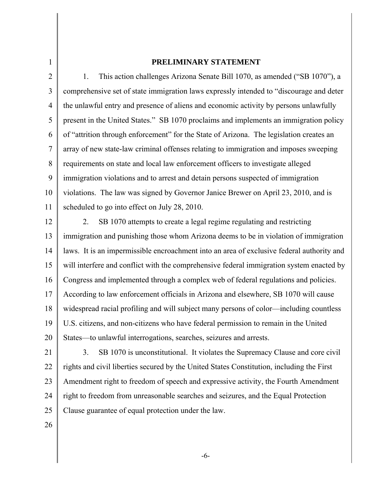1

### **PRELIMINARY STATEMENT**

2 3 4 5 6 7 8 9 10 11 1. This action challenges Arizona Senate Bill 1070, as amended ("SB 1070"), a comprehensive set of state immigration laws expressly intended to "discourage and deter the unlawful entry and presence of aliens and economic activity by persons unlawfully present in the United States." SB 1070 proclaims and implements an immigration policy of "attrition through enforcement" for the State of Arizona. The legislation creates an array of new state-law criminal offenses relating to immigration and imposes sweeping requirements on state and local law enforcement officers to investigate alleged immigration violations and to arrest and detain persons suspected of immigration violations. The law was signed by Governor Janice Brewer on April 23, 2010, and is scheduled to go into effect on July 28, 2010.

12 13 14 15 16 17 18 19 20 2. SB 1070 attempts to create a legal regime regulating and restricting immigration and punishing those whom Arizona deems to be in violation of immigration laws. It is an impermissible encroachment into an area of exclusive federal authority and will interfere and conflict with the comprehensive federal immigration system enacted by Congress and implemented through a complex web of federal regulations and policies. According to law enforcement officials in Arizona and elsewhere, SB 1070 will cause widespread racial profiling and will subject many persons of color—including countless U.S. citizens, and non-citizens who have federal permission to remain in the United States—to unlawful interrogations, searches, seizures and arrests.

21 22 23 24 25 3. SB 1070 is unconstitutional. It violates the Supremacy Clause and core civil rights and civil liberties secured by the United States Constitution, including the First Amendment right to freedom of speech and expressive activity, the Fourth Amendment right to freedom from unreasonable searches and seizures, and the Equal Protection Clause guarantee of equal protection under the law.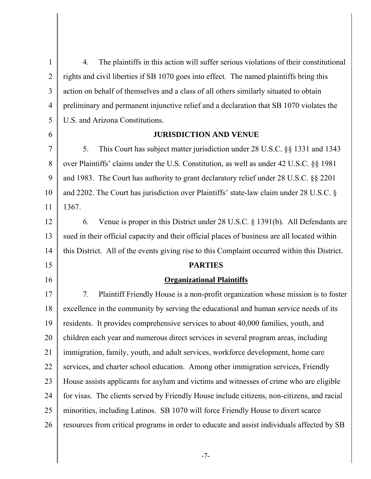1 2 3 4 5 6 7 8 9 10 11 12 13 14 15 16 17 18 19 20 21 22 23 24 25 26 4. The plaintiffs in this action will suffer serious violations of their constitutional rights and civil liberties if SB 1070 goes into effect. The named plaintiffs bring this action on behalf of themselves and a class of all others similarly situated to obtain preliminary and permanent injunctive relief and a declaration that SB 1070 violates the U.S. and Arizona Constitutions. **JURISDICTION AND VENUE** 5. This Court has subject matter jurisdiction under 28 U.S.C. §§ 1331 and 1343 over Plaintiffs' claims under the U.S. Constitution, as well as under 42 U.S.C. §§ 1981 and 1983. The Court has authority to grant declaratory relief under 28 U.S.C. §§ 2201 and 2202. The Court has jurisdiction over Plaintiffs' state-law claim under 28 U.S.C. § 1367. 6. Venue is proper in this District under 28 U.S.C. § 1391(b). All Defendants are sued in their official capacity and their official places of business are all located within this District. All of the events giving rise to this Complaint occurred within this District. **PARTIES Organizational Plaintiffs** 7. Plaintiff Friendly House is a non-profit organization whose mission is to foster excellence in the community by serving the educational and human service needs of its residents. It provides comprehensive services to about 40,000 families, youth, and children each year and numerous direct services in several program areas, including immigration, family, youth, and adult services, workforce development, home care services, and charter school education. Among other immigration services, Friendly House assists applicants for asylum and victims and witnesses of crime who are eligible for visas. The clients served by Friendly House include citizens, non-citizens, and racial minorities, including Latinos. SB 1070 will force Friendly House to divert scarce resources from critical programs in order to educate and assist individuals affected by SB

-7-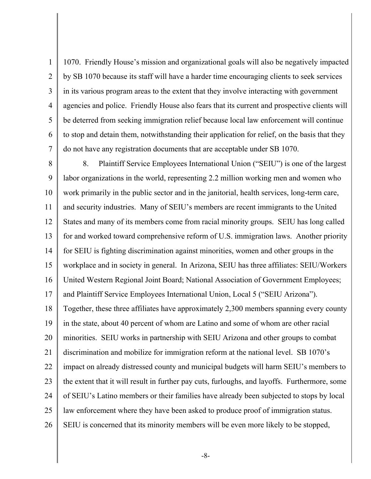1 2 3 4 5 6 7 1070. Friendly House's mission and organizational goals will also be negatively impacted by SB 1070 because its staff will have a harder time encouraging clients to seek services in its various program areas to the extent that they involve interacting with government agencies and police. Friendly House also fears that its current and prospective clients will be deterred from seeking immigration relief because local law enforcement will continue to stop and detain them, notwithstanding their application for relief, on the basis that they do not have any registration documents that are acceptable under SB 1070.

8 9 10 11 12 13 14 15 16 17 18 19 20 21 22 23 24 25 26 8. Plaintiff Service Employees International Union ("SEIU") is one of the largest labor organizations in the world, representing 2.2 million working men and women who work primarily in the public sector and in the janitorial, health services, long-term care, and security industries. Many of SEIU's members are recent immigrants to the United States and many of its members come from racial minority groups. SEIU has long called for and worked toward comprehensive reform of U.S. immigration laws. Another priority for SEIU is fighting discrimination against minorities, women and other groups in the workplace and in society in general. In Arizona, SEIU has three affiliates: SEIU/Workers United Western Regional Joint Board; National Association of Government Employees; and Plaintiff Service Employees International Union, Local 5 ("SEIU Arizona"). Together, these three affiliates have approximately 2,300 members spanning every county in the state, about 40 percent of whom are Latino and some of whom are other racial minorities. SEIU works in partnership with SEIU Arizona and other groups to combat discrimination and mobilize for immigration reform at the national level. SB 1070's impact on already distressed county and municipal budgets will harm SEIU's members to the extent that it will result in further pay cuts, furloughs, and layoffs. Furthermore, some of SEIU's Latino members or their families have already been subjected to stops by local law enforcement where they have been asked to produce proof of immigration status. SEIU is concerned that its minority members will be even more likely to be stopped,

-8-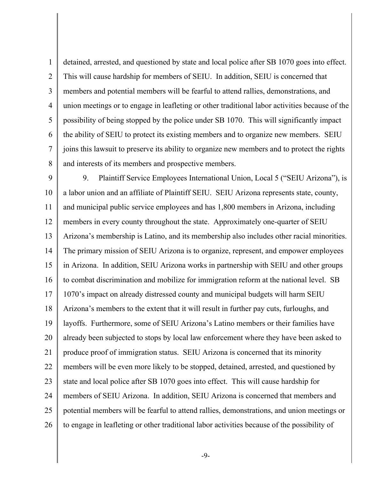1 2 3 4 5 6 7 8 detained, arrested, and questioned by state and local police after SB 1070 goes into effect. This will cause hardship for members of SEIU. In addition, SEIU is concerned that members and potential members will be fearful to attend rallies, demonstrations, and union meetings or to engage in leafleting or other traditional labor activities because of the possibility of being stopped by the police under SB 1070. This will significantly impact the ability of SEIU to protect its existing members and to organize new members. SEIU joins this lawsuit to preserve its ability to organize new members and to protect the rights and interests of its members and prospective members.

9 10 11 12 13 14 15 16 17 18 19 20 21 22 23 24 25 26 9. Plaintiff Service Employees International Union, Local 5 ("SEIU Arizona"), is a labor union and an affiliate of Plaintiff SEIU. SEIU Arizona represents state, county, and municipal public service employees and has 1,800 members in Arizona, including members in every county throughout the state. Approximately one-quarter of SEIU Arizona's membership is Latino, and its membership also includes other racial minorities. The primary mission of SEIU Arizona is to organize, represent, and empower employees in Arizona. In addition, SEIU Arizona works in partnership with SEIU and other groups to combat discrimination and mobilize for immigration reform at the national level. SB 1070's impact on already distressed county and municipal budgets will harm SEIU Arizona's members to the extent that it will result in further pay cuts, furloughs, and layoffs. Furthermore, some of SEIU Arizona's Latino members or their families have already been subjected to stops by local law enforcement where they have been asked to produce proof of immigration status. SEIU Arizona is concerned that its minority members will be even more likely to be stopped, detained, arrested, and questioned by state and local police after SB 1070 goes into effect. This will cause hardship for members of SEIU Arizona. In addition, SEIU Arizona is concerned that members and potential members will be fearful to attend rallies, demonstrations, and union meetings or to engage in leafleting or other traditional labor activities because of the possibility of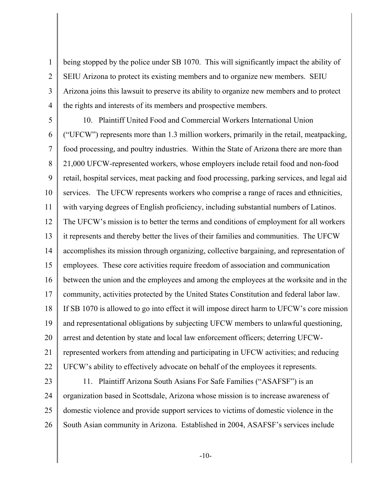1 2 3 4 being stopped by the police under SB 1070. This will significantly impact the ability of SEIU Arizona to protect its existing members and to organize new members. SEIU Arizona joins this lawsuit to preserve its ability to organize new members and to protect the rights and interests of its members and prospective members.

5 6 7 8 9 10 11 12 13 14 15 16 17 18 19 20 21 22 10. Plaintiff United Food and Commercial Workers International Union ("UFCW") represents more than 1.3 million workers, primarily in the retail, meatpacking, food processing, and poultry industries. Within the State of Arizona there are more than 21,000 UFCW-represented workers, whose employers include retail food and non-food retail, hospital services, meat packing and food processing, parking services, and legal aid services. The UFCW represents workers who comprise a range of races and ethnicities, with varying degrees of English proficiency, including substantial numbers of Latinos. The UFCW's mission is to better the terms and conditions of employment for all workers it represents and thereby better the lives of their families and communities. The UFCW accomplishes its mission through organizing, collective bargaining, and representation of employees. These core activities require freedom of association and communication between the union and the employees and among the employees at the worksite and in the community, activities protected by the United States Constitution and federal labor law. If SB 1070 is allowed to go into effect it will impose direct harm to UFCW's core mission and representational obligations by subjecting UFCW members to unlawful questioning, arrest and detention by state and local law enforcement officers; deterring UFCWrepresented workers from attending and participating in UFCW activities; and reducing UFCW's ability to effectively advocate on behalf of the employees it represents.

23 24 25 26 11. Plaintiff Arizona South Asians For Safe Families ("ASAFSF") is an organization based in Scottsdale, Arizona whose mission is to increase awareness of domestic violence and provide support services to victims of domestic violence in the South Asian community in Arizona. Established in 2004, ASAFSF's services include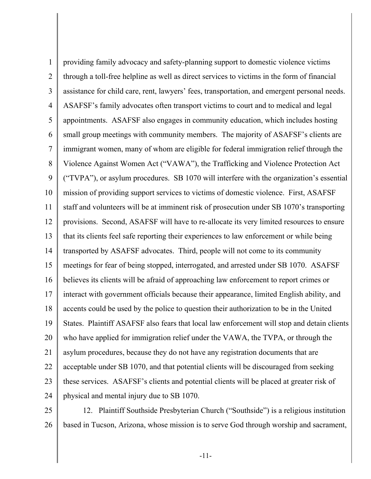1 2 3 4 5 6 7 8 9 10 11 12 13 14 15 16 17 18 19 20 21 22 23 24 providing family advocacy and safety-planning support to domestic violence victims through a toll-free helpline as well as direct services to victims in the form of financial assistance for child care, rent, lawyers' fees, transportation, and emergent personal needs. ASAFSF's family advocates often transport victims to court and to medical and legal appointments. ASAFSF also engages in community education, which includes hosting small group meetings with community members. The majority of ASAFSF's clients are immigrant women, many of whom are eligible for federal immigration relief through the Violence Against Women Act ("VAWA"), the Trafficking and Violence Protection Act ("TVPA"), or asylum procedures. SB 1070 will interfere with the organization's essential mission of providing support services to victims of domestic violence. First, ASAFSF staff and volunteers will be at imminent risk of prosecution under SB 1070's transporting provisions. Second, ASAFSF will have to re-allocate its very limited resources to ensure that its clients feel safe reporting their experiences to law enforcement or while being transported by ASAFSF advocates. Third, people will not come to its community meetings for fear of being stopped, interrogated, and arrested under SB 1070. ASAFSF believes its clients will be afraid of approaching law enforcement to report crimes or interact with government officials because their appearance, limited English ability, and accents could be used by the police to question their authorization to be in the United States. Plaintiff ASAFSF also fears that local law enforcement will stop and detain clients who have applied for immigration relief under the VAWA, the TVPA, or through the asylum procedures, because they do not have any registration documents that are acceptable under SB 1070, and that potential clients will be discouraged from seeking these services. ASAFSF's clients and potential clients will be placed at greater risk of physical and mental injury due to SB 1070.

25 26 12. Plaintiff Southside Presbyterian Church ("Southside") is a religious institution based in Tucson, Arizona, whose mission is to serve God through worship and sacrament,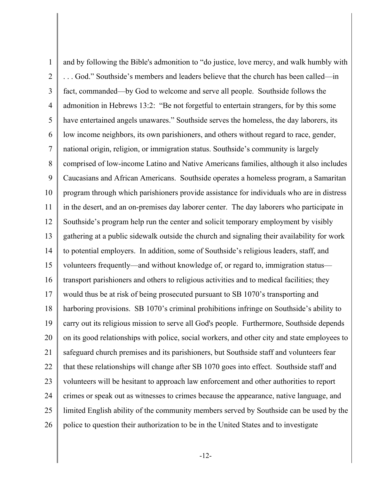1 2 3 4 5 6 7 8 9 10 11 12 13 14 15 16 17 18 19 20 21 22 23 24 25 26 and by following the Bible's admonition to "do justice, love mercy, and walk humbly with . . . God." Southside's members and leaders believe that the church has been called—in fact, commanded—by God to welcome and serve all people. Southside follows the admonition in Hebrews 13:2: "Be not forgetful to entertain strangers, for by this some have entertained angels unawares." Southside serves the homeless, the day laborers, its low income neighbors, its own parishioners, and others without regard to race, gender, national origin, religion, or immigration status. Southside's community is largely comprised of low-income Latino and Native Americans families, although it also includes Caucasians and African Americans. Southside operates a homeless program, a Samaritan program through which parishioners provide assistance for individuals who are in distress in the desert, and an on-premises day laborer center. The day laborers who participate in Southside's program help run the center and solicit temporary employment by visibly gathering at a public sidewalk outside the church and signaling their availability for work to potential employers. In addition, some of Southside's religious leaders, staff, and volunteers frequently—and without knowledge of, or regard to, immigration status transport parishioners and others to religious activities and to medical facilities; they would thus be at risk of being prosecuted pursuant to SB 1070's transporting and harboring provisions. SB 1070's criminal prohibitions infringe on Southside's ability to carry out its religious mission to serve all God's people. Furthermore, Southside depends on its good relationships with police, social workers, and other city and state employees to safeguard church premises and its parishioners, but Southside staff and volunteers fear that these relationships will change after SB 1070 goes into effect. Southside staff and volunteers will be hesitant to approach law enforcement and other authorities to report crimes or speak out as witnesses to crimes because the appearance, native language, and limited English ability of the community members served by Southside can be used by the police to question their authorization to be in the United States and to investigate

-12-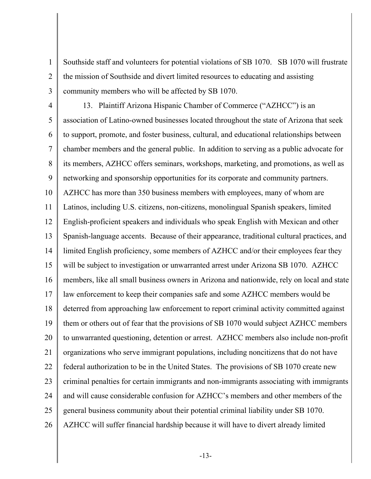Southside staff and volunteers for potential violations of SB 1070. SB 1070 will frustrate the mission of Southside and divert limited resources to educating and assisting community members who will be affected by SB 1070.

1

2

3

4 5 6 7 8 9 10 11 12 13 14 15 16 17 18 19 20 21 22 23 24 25 26 13. Plaintiff Arizona Hispanic Chamber of Commerce ("AZHCC") is an association of Latino-owned businesses located throughout the state of Arizona that seek to support, promote, and foster business, cultural, and educational relationships between chamber members and the general public. In addition to serving as a public advocate for its members, AZHCC offers seminars, workshops, marketing, and promotions, as well as networking and sponsorship opportunities for its corporate and community partners. AZHCC has more than 350 business members with employees, many of whom are Latinos, including U.S. citizens, non-citizens, monolingual Spanish speakers, limited English-proficient speakers and individuals who speak English with Mexican and other Spanish-language accents. Because of their appearance, traditional cultural practices, and limited English proficiency, some members of AZHCC and/or their employees fear they will be subject to investigation or unwarranted arrest under Arizona SB 1070. AZHCC members, like all small business owners in Arizona and nationwide, rely on local and state law enforcement to keep their companies safe and some AZHCC members would be deterred from approaching law enforcement to report criminal activity committed against them or others out of fear that the provisions of SB 1070 would subject AZHCC members to unwarranted questioning, detention or arrest. AZHCC members also include non-profit organizations who serve immigrant populations, including noncitizens that do not have federal authorization to be in the United States. The provisions of SB 1070 create new criminal penalties for certain immigrants and non-immigrants associating with immigrants and will cause considerable confusion for AZHCC's members and other members of the general business community about their potential criminal liability under SB 1070. AZHCC will suffer financial hardship because it will have to divert already limited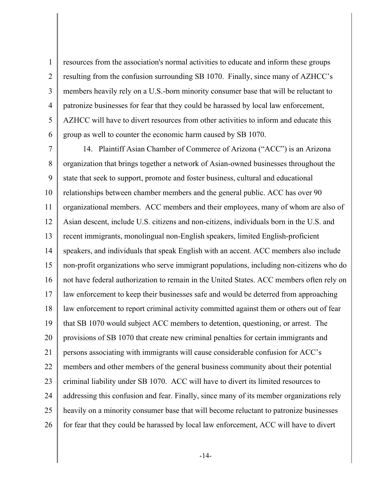1 2 3 4 5 6 resources from the association's normal activities to educate and inform these groups resulting from the confusion surrounding SB 1070. Finally, since many of AZHCC's members heavily rely on a U.S.-born minority consumer base that will be reluctant to patronize businesses for fear that they could be harassed by local law enforcement, AZHCC will have to divert resources from other activities to inform and educate this group as well to counter the economic harm caused by SB 1070.

7 8 9 10 11 12 13 14 15 16 17 18 19 20 21 22 23 24 25 26 14. Plaintiff Asian Chamber of Commerce of Arizona ("ACC") is an Arizona organization that brings together a network of Asian-owned businesses throughout the state that seek to support, promote and foster business, cultural and educational relationships between chamber members and the general public. ACC has over 90 organizational members. ACC members and their employees, many of whom are also of Asian descent, include U.S. citizens and non-citizens, individuals born in the U.S. and recent immigrants, monolingual non-English speakers, limited English-proficient speakers, and individuals that speak English with an accent. ACC members also include non-profit organizations who serve immigrant populations, including non-citizens who do not have federal authorization to remain in the United States. ACC members often rely on law enforcement to keep their businesses safe and would be deterred from approaching law enforcement to report criminal activity committed against them or others out of fear that SB 1070 would subject ACC members to detention, questioning, or arrest. The provisions of SB 1070 that create new criminal penalties for certain immigrants and persons associating with immigrants will cause considerable confusion for ACC's members and other members of the general business community about their potential criminal liability under SB 1070. ACC will have to divert its limited resources to addressing this confusion and fear. Finally, since many of its member organizations rely heavily on a minority consumer base that will become reluctant to patronize businesses for fear that they could be harassed by local law enforcement, ACC will have to divert

-14-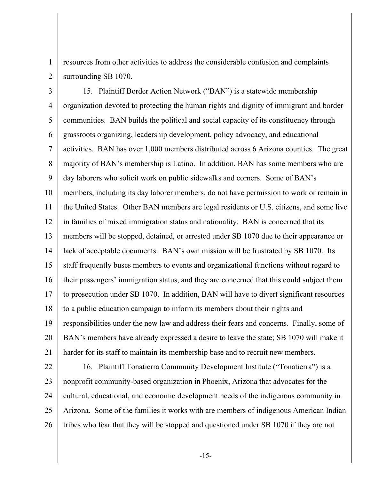resources from other activities to address the considerable confusion and complaints surrounding SB 1070.

3 4 5 6 7 8 9 10 11 12 13 14 15 16 17 18 19 20 21 15. Plaintiff Border Action Network ("BAN") is a statewide membership organization devoted to protecting the human rights and dignity of immigrant and border communities. BAN builds the political and social capacity of its constituency through grassroots organizing, leadership development, policy advocacy, and educational activities. BAN has over 1,000 members distributed across 6 Arizona counties. The great majority of BAN's membership is Latino. In addition, BAN has some members who are day laborers who solicit work on public sidewalks and corners. Some of BAN's members, including its day laborer members, do not have permission to work or remain in the United States. Other BAN members are legal residents or U.S. citizens, and some live in families of mixed immigration status and nationality. BAN is concerned that its members will be stopped, detained, or arrested under SB 1070 due to their appearance or lack of acceptable documents. BAN's own mission will be frustrated by SB 1070. Its staff frequently buses members to events and organizational functions without regard to their passengers' immigration status, and they are concerned that this could subject them to prosecution under SB 1070. In addition, BAN will have to divert significant resources to a public education campaign to inform its members about their rights and responsibilities under the new law and address their fears and concerns. Finally, some of BAN's members have already expressed a desire to leave the state; SB 1070 will make it harder for its staff to maintain its membership base and to recruit new members.

22

26

1

2

23 24 25 16. Plaintiff Tonatierra Community Development Institute ("Tonatierra") is a nonprofit community-based organization in Phoenix, Arizona that advocates for the cultural, educational, and economic development needs of the indigenous community in Arizona. Some of the families it works with are members of indigenous American Indian tribes who fear that they will be stopped and questioned under SB 1070 if they are not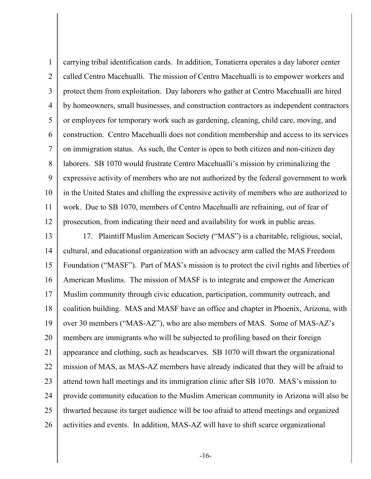1 2 3 4 5 6 7 8 9 10 11 12 carrying tribal identification cards. In addition, Tonatierra operates a day laborer center called Centro Macehualli. The mission of Centro Macehualli is to empower workers and protect them from exploitation. Day laborers who gather at Centro Macehualli are hired by homeowners, small businesses, and construction contractors as independent contractors or employees for temporary work such as gardening, cleaning, child care, moving, and construction. Centro Macehualli does not condition membership and access to its services on immigration status. As such, the Center is open to both citizen and non-citizen day laborers. SB 1070 would frustrate Centro Macehualli's mission by criminalizing the expressive activity of members who are not authorized by the federal government to work in the United States and chilling the expressive activity of members who are authorized to work. Due to SB 1070, members of Centro Macehualli are refraining, out of fear of prosecution, from indicating their need and availability for work in public areas.

13 14 15 16 17 18 19 20 21 22 23 24 25 26 17. Plaintiff Muslim American Society ("MAS") is a charitable, religious, social, cultural, and educational organization with an advocacy arm called the MAS Freedom Foundation ("MASF"). Part of MAS's mission is to protect the civil rights and liberties of American Muslims. The mission of MASF is to integrate and empower the American Muslim community through civic education, participation, community outreach, and coalition building. MAS and MASF have an office and chapter in Phoenix, Arizona, with over 30 members ("MAS-AZ"), who are also members of MAS. Some of MAS-AZ's members are immigrants who will be subjected to profiling based on their foreign appearance and clothing, such as headscarves. SB 1070 will thwart the organizational mission of MAS, as MAS-AZ members have already indicated that they will be afraid to attend town hall meetings and its immigration clinic after SB 1070. MAS's mission to provide community education to the Muslim American community in Arizona will also be thwarted because its target audience will be too afraid to attend meetings and organized activities and events. In addition, MAS-AZ will have to shift scarce organizational

-16-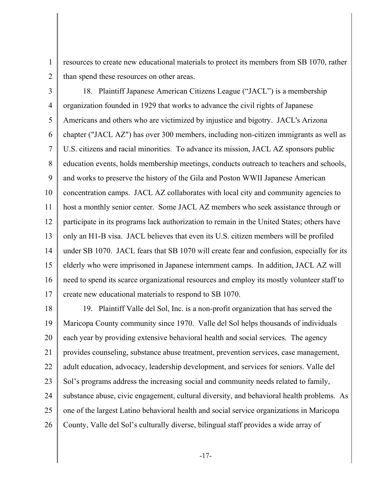resources to create new educational materials to protect its members from SB 1070, rather than spend these resources on other areas.

2

1

3 4 5 6 7 8 9 10 11 12 13 14 15 16 17 18. Plaintiff Japanese American Citizens League ("JACL") is a membership organization founded in 1929 that works to advance the civil rights of Japanese Americans and others who are victimized by injustice and bigotry. JACL's Arizona chapter ("JACL AZ") has over 300 members, including non-citizen immigrants as well as U.S. citizens and racial minorities. To advance its mission, JACL AZ sponsors public education events, holds membership meetings, conducts outreach to teachers and schools, and works to preserve the history of the Gila and Poston WWII Japanese American concentration camps. JACL AZ collaborates with local city and community agencies to host a monthly senior center. Some JACL AZ members who seek assistance through or participate in its programs lack authorization to remain in the United States; others have only an H1-B visa. JACL believes that even its U.S. citizen members will be profiled under SB 1070. JACL fears that SB 1070 will create fear and confusion, especially for its elderly who were imprisoned in Japanese internment camps. In addition, JACL AZ will need to spend its scarce organizational resources and employ its mostly volunteer staff to create new educational materials to respond to SB 1070.

18 19 20 21 22 23 24 25 26 19. Plaintiff Valle del Sol, Inc. is a non-profit organization that has served the Maricopa County community since 1970. Valle del Sol helps thousands of individuals each year by providing extensive behavioral health and social services. The agency provides counseling, substance abuse treatment, prevention services, case management, adult education, advocacy, leadership development, and services for seniors. Valle del Sol's programs address the increasing social and community needs related to family, substance abuse, civic engagement, cultural diversity, and behavioral health problems. As one of the largest Latino behavioral health and social service organizations in Maricopa County, Valle del Sol's culturally diverse, bilingual staff provides a wide array of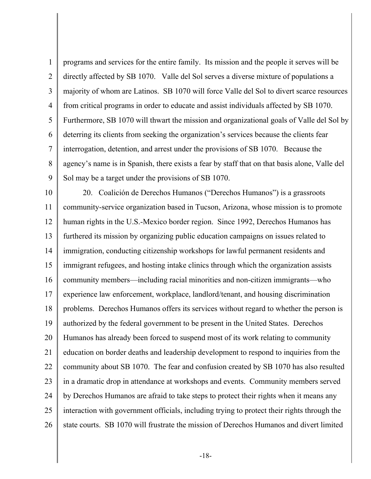1 2 3 4 5 6 7 8  $\mathbf Q$ programs and services for the entire family. Its mission and the people it serves will be directly affected by SB 1070. Valle del Sol serves a diverse mixture of populations a majority of whom are Latinos. SB 1070 will force Valle del Sol to divert scarce resources from critical programs in order to educate and assist individuals affected by SB 1070. Furthermore, SB 1070 will thwart the mission and organizational goals of Valle del Sol by deterring its clients from seeking the organization's services because the clients fear interrogation, detention, and arrest under the provisions of SB 1070. Because the agency's name is in Spanish, there exists a fear by staff that on that basis alone, Valle del Sol may be a target under the provisions of SB 1070.

10 11 12 13 14 15 16 17 18 19 20 21 22 23 24 25 26 20. Coalición de Derechos Humanos ("Derechos Humanos") is a grassroots community-service organization based in Tucson, Arizona, whose mission is to promote human rights in the U.S.-Mexico border region. Since 1992, Derechos Humanos has furthered its mission by organizing public education campaigns on issues related to immigration, conducting citizenship workshops for lawful permanent residents and immigrant refugees, and hosting intake clinics through which the organization assists community members—including racial minorities and non-citizen immigrants—who experience law enforcement, workplace, landlord/tenant, and housing discrimination problems. Derechos Humanos offers its services without regard to whether the person is authorized by the federal government to be present in the United States. Derechos Humanos has already been forced to suspend most of its work relating to community education on border deaths and leadership development to respond to inquiries from the community about SB 1070. The fear and confusion created by SB 1070 has also resulted in a dramatic drop in attendance at workshops and events. Community members served by Derechos Humanos are afraid to take steps to protect their rights when it means any interaction with government officials, including trying to protect their rights through the state courts. SB 1070 will frustrate the mission of Derechos Humanos and divert limited

-18-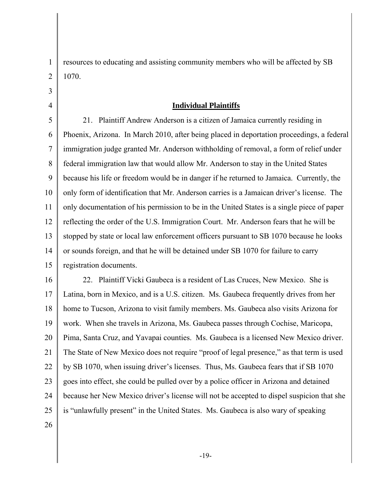resources to educating and assisting community members who will be affected by SB 1070.

### **Individual Plaintiffs**

5 6 7 8 9 10 11 12 13 14 15 21. Plaintiff Andrew Anderson is a citizen of Jamaica currently residing in Phoenix, Arizona. In March 2010, after being placed in deportation proceedings, a federal immigration judge granted Mr. Anderson withholding of removal, a form of relief under federal immigration law that would allow Mr. Anderson to stay in the United States because his life or freedom would be in danger if he returned to Jamaica. Currently, the only form of identification that Mr. Anderson carries is a Jamaican driver's license. The only documentation of his permission to be in the United States is a single piece of paper reflecting the order of the U.S. Immigration Court. Mr. Anderson fears that he will be stopped by state or local law enforcement officers pursuant to SB 1070 because he looks or sounds foreign, and that he will be detained under SB 1070 for failure to carry registration documents.

16 17 18 19 20 21 22 23 24 25 22. Plaintiff Vicki Gaubeca is a resident of Las Cruces, New Mexico. She is Latina, born in Mexico, and is a U.S. citizen. Ms. Gaubeca frequently drives from her home to Tucson, Arizona to visit family members. Ms. Gaubeca also visits Arizona for work. When she travels in Arizona, Ms. Gaubeca passes through Cochise, Maricopa, Pima, Santa Cruz, and Yavapai counties. Ms. Gaubeca is a licensed New Mexico driver. The State of New Mexico does not require "proof of legal presence," as that term is used by SB 1070, when issuing driver's licenses. Thus, Ms. Gaubeca fears that if SB 1070 goes into effect, she could be pulled over by a police officer in Arizona and detained because her New Mexico driver's license will not be accepted to dispel suspicion that she is "unlawfully present" in the United States. Ms. Gaubeca is also wary of speaking

26

1

2

3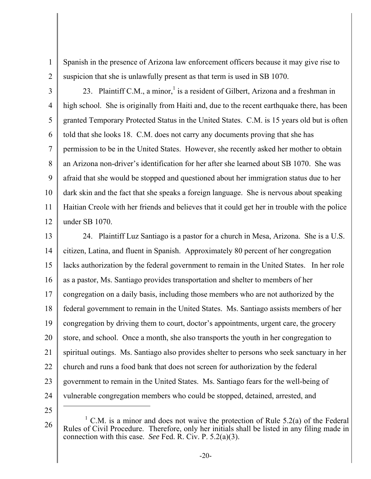Spanish in the presence of Arizona law enforcement officers because it may give rise to suspicion that she is unlawfully present as that term is used in SB 1070.

2 3

4

5

6

7

9

11

12

1

8 10 23. Plaintiff C.M., a minor, is a resident of Gilbert, Arizona and a freshman in high school. She is originally from Haiti and, due to the recent earthquake there, has been granted Temporary Protected Status in the United States. C.M. is 15 years old but is often told that she looks 18. C.M. does not carry any documents proving that she has permission to be in the United States. However, she recently asked her mother to obtain an Arizona non-driver's identification for her after she learned about SB 1070. She was afraid that she would be stopped and questioned about her immigration status due to her dark skin and the fact that she speaks a foreign language. She is nervous about speaking Haitian Creole with her friends and believes that it could get her in trouble with the police under SB 1070.

13 14 15 16 17 18 19 20 21 22 23 24 24. Plaintiff Luz Santiago is a pastor for a church in Mesa, Arizona. She is a U.S. citizen, Latina, and fluent in Spanish. Approximately 80 percent of her congregation lacks authorization by the federal government to remain in the United States. In her role as a pastor, Ms. Santiago provides transportation and shelter to members of her congregation on a daily basis, including those members who are not authorized by the federal government to remain in the United States. Ms. Santiago assists members of her congregation by driving them to court, doctor's appointments, urgent care, the grocery store, and school. Once a month, she also transports the youth in her congregation to spiritual outings. Ms. Santiago also provides shelter to persons who seek sanctuary in her church and runs a food bank that does not screen for authorization by the federal government to remain in the United States. Ms. Santiago fears for the well-being of vulnerable congregation members who could be stopped, detained, arrested, and

25

<sup>&</sup>lt;sup>1</sup> C.M. is a minor and does not waive the protection of Rule 5.2(a) of the Federal Rules of Civil Procedure. Therefore, only her initials shall be listed in any filing made in connection with this case. *See* Fed. R. Civ. P. 5.2(a)(3).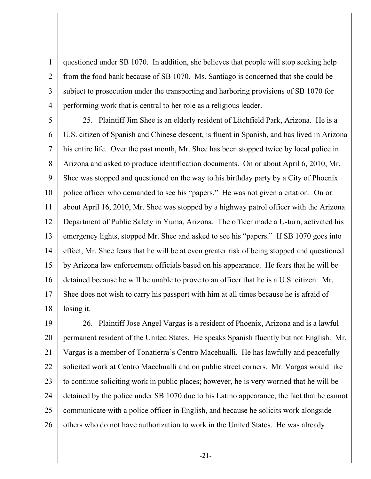2 3 4 questioned under SB 1070. In addition, she believes that people will stop seeking help from the food bank because of SB 1070. Ms. Santiago is concerned that she could be subject to prosecution under the transporting and harboring provisions of SB 1070 for performing work that is central to her role as a religious leader.

5

1

6 7 8 9 10 11 12 13 14 15 16 17 18 25. Plaintiff Jim Shee is an elderly resident of Litchfield Park, Arizona. He is a U.S. citizen of Spanish and Chinese descent, is fluent in Spanish, and has lived in Arizona his entire life. Over the past month, Mr. Shee has been stopped twice by local police in Arizona and asked to produce identification documents. On or about April 6, 2010, Mr. Shee was stopped and questioned on the way to his birthday party by a City of Phoenix police officer who demanded to see his "papers." He was not given a citation. On or about April 16, 2010, Mr. Shee was stopped by a highway patrol officer with the Arizona Department of Public Safety in Yuma, Arizona. The officer made a U-turn, activated his emergency lights, stopped Mr. Shee and asked to see his "papers." If SB 1070 goes into effect, Mr. Shee fears that he will be at even greater risk of being stopped and questioned by Arizona law enforcement officials based on his appearance. He fears that he will be detained because he will be unable to prove to an officer that he is a U.S. citizen. Mr. Shee does not wish to carry his passport with him at all times because he is afraid of losing it.

19 20 21 22 23 24 25 26 26. Plaintiff Jose Angel Vargas is a resident of Phoenix, Arizona and is a lawful permanent resident of the United States. He speaks Spanish fluently but not English. Mr. Vargas is a member of Tonatierra's Centro Macehualli. He has lawfully and peacefully solicited work at Centro Macehualli and on public street corners. Mr. Vargas would like to continue soliciting work in public places; however, he is very worried that he will be detained by the police under SB 1070 due to his Latino appearance, the fact that he cannot communicate with a police officer in English, and because he solicits work alongside others who do not have authorization to work in the United States. He was already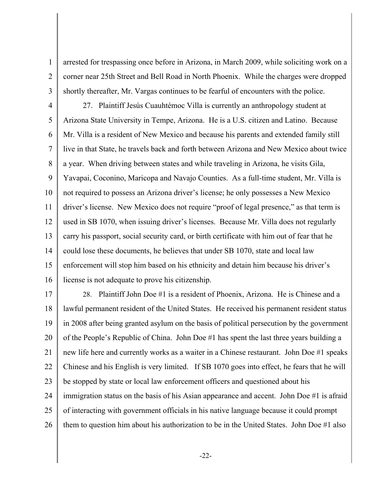arrested for trespassing once before in Arizona, in March 2009, while soliciting work on a corner near 25th Street and Bell Road in North Phoenix. While the charges were dropped shortly thereafter, Mr. Vargas continues to be fearful of encounters with the police.

1

2

3

4 5 6 7 8 9 10 11 12 13 14 15 16 27. Plaintiff Jesús Cuauhtémoc Villa is currently an anthropology student at Arizona State University in Tempe, Arizona. He is a U.S. citizen and Latino. Because Mr. Villa is a resident of New Mexico and because his parents and extended family still live in that State, he travels back and forth between Arizona and New Mexico about twice a year. When driving between states and while traveling in Arizona, he visits Gila, Yavapai, Coconino, Maricopa and Navajo Counties. As a full-time student, Mr. Villa is not required to possess an Arizona driver's license; he only possesses a New Mexico driver's license. New Mexico does not require "proof of legal presence," as that term is used in SB 1070, when issuing driver's licenses. Because Mr. Villa does not regularly carry his passport, social security card, or birth certificate with him out of fear that he could lose these documents, he believes that under SB 1070, state and local law enforcement will stop him based on his ethnicity and detain him because his driver's license is not adequate to prove his citizenship.

17 18 19 20 21 22 23 24 25 26 28. Plaintiff John Doe #1 is a resident of Phoenix, Arizona. He is Chinese and a lawful permanent resident of the United States. He received his permanent resident status in 2008 after being granted asylum on the basis of political persecution by the government of the People's Republic of China. John Doe #1 has spent the last three years building a new life here and currently works as a waiter in a Chinese restaurant. John Doe #1 speaks Chinese and his English is very limited. If SB 1070 goes into effect, he fears that he will be stopped by state or local law enforcement officers and questioned about his immigration status on the basis of his Asian appearance and accent. John Doe #1 is afraid of interacting with government officials in his native language because it could prompt them to question him about his authorization to be in the United States. John Doe #1 also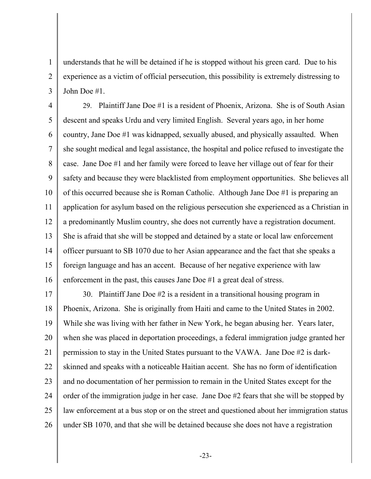understands that he will be detained if he is stopped without his green card. Due to his experience as a victim of official persecution, this possibility is extremely distressing to John Doe #1.

1

2

3

4 5 6 7 8 9 10 11 12 13 14 15 16 29. Plaintiff Jane Doe #1 is a resident of Phoenix, Arizona. She is of South Asian descent and speaks Urdu and very limited English. Several years ago, in her home country, Jane Doe #1 was kidnapped, sexually abused, and physically assaulted. When she sought medical and legal assistance, the hospital and police refused to investigate the case. Jane Doe #1 and her family were forced to leave her village out of fear for their safety and because they were blacklisted from employment opportunities. She believes all of this occurred because she is Roman Catholic. Although Jane Doe #1 is preparing an application for asylum based on the religious persecution she experienced as a Christian in a predominantly Muslim country, she does not currently have a registration document. She is afraid that she will be stopped and detained by a state or local law enforcement officer pursuant to SB 1070 due to her Asian appearance and the fact that she speaks a foreign language and has an accent. Because of her negative experience with law enforcement in the past, this causes Jane Doe #1 a great deal of stress.

17 18 19 20 21 22 23 24 25 26 30. Plaintiff Jane Doe #2 is a resident in a transitional housing program in Phoenix, Arizona. She is originally from Haiti and came to the United States in 2002. While she was living with her father in New York, he began abusing her. Years later, when she was placed in deportation proceedings, a federal immigration judge granted her permission to stay in the United States pursuant to the VAWA. Jane Doe #2 is darkskinned and speaks with a noticeable Haitian accent. She has no form of identification and no documentation of her permission to remain in the United States except for the order of the immigration judge in her case. Jane Doe #2 fears that she will be stopped by law enforcement at a bus stop or on the street and questioned about her immigration status under SB 1070, and that she will be detained because she does not have a registration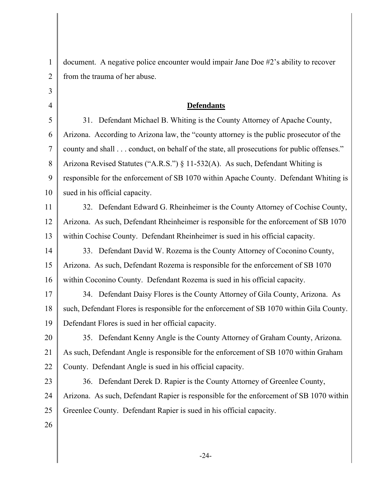| $\mathbf{1}$   | document. A negative police encounter would impair Jane Doe #2's ability to recover      |
|----------------|------------------------------------------------------------------------------------------|
| $\overline{2}$ | from the trauma of her abuse.                                                            |
| $\overline{3}$ |                                                                                          |
| $\overline{4}$ | <b>Defendants</b>                                                                        |
| 5              | 31. Defendant Michael B. Whiting is the County Attorney of Apache County,                |
| 6              | Arizona. According to Arizona law, the "county attorney is the public prosecutor of the  |
| $\overline{7}$ | county and shall conduct, on behalf of the state, all prosecutions for public offenses." |
| 8              | Arizona Revised Statutes ("A.R.S.") § 11-532(A). As such, Defendant Whiting is           |
| 9              | responsible for the enforcement of SB 1070 within Apache County. Defendant Whiting is    |
| 10             | sued in his official capacity.                                                           |
| 11             | 32. Defendant Edward G. Rheinheimer is the County Attorney of Cochise County,            |
| 12             | Arizona. As such, Defendant Rheinheimer is responsible for the enforcement of SB 1070    |
| 13             | within Cochise County. Defendant Rheinheimer is sued in his official capacity.           |
| 14             | 33. Defendant David W. Rozema is the County Attorney of Coconino County,                 |
| 15             | Arizona. As such, Defendant Rozema is responsible for the enforcement of SB 1070         |
| 16             | within Coconino County. Defendant Rozema is sued in his official capacity.               |
| 17             | 34. Defendant Daisy Flores is the County Attorney of Gila County, Arizona. As            |
| 18             | such, Defendant Flores is responsible for the enforcement of SB 1070 within Gila County. |
| 19             | Defendant Flores is sued in her official capacity.                                       |
| 20             | 35. Defendant Kenny Angle is the County Attorney of Graham County, Arizona.              |
| 21             | As such, Defendant Angle is responsible for the enforcement of SB 1070 within Graham     |
| 22             | County. Defendant Angle is sued in his official capacity.                                |
| 23             | 36. Defendant Derek D. Rapier is the County Attorney of Greenlee County,                 |
| 24             | Arizona. As such, Defendant Rapier is responsible for the enforcement of SB 1070 within  |
| 25             | Greenlee County. Defendant Rapier is sued in his official capacity.                      |
| 26             |                                                                                          |
|                |                                                                                          |

-24-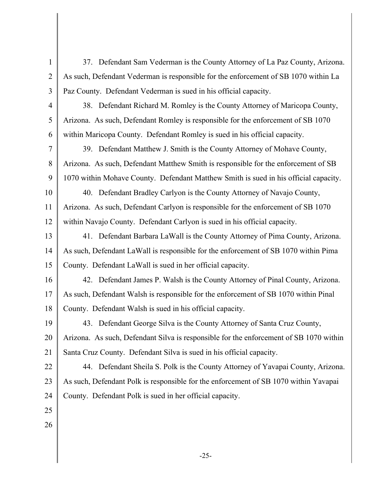1 2 3 4 5 6 7 8 9 10 11 12 13 14 15 16 17 18 19 20 21 22 23 24 25 26 37. Defendant Sam Vederman is the County Attorney of La Paz County, Arizona. As such, Defendant Vederman is responsible for the enforcement of SB 1070 within La Paz County. Defendant Vederman is sued in his official capacity. 38. Defendant Richard M. Romley is the County Attorney of Maricopa County, Arizona. As such, Defendant Romley is responsible for the enforcement of SB 1070 within Maricopa County. Defendant Romley is sued in his official capacity. 39. Defendant Matthew J. Smith is the County Attorney of Mohave County, Arizona. As such, Defendant Matthew Smith is responsible for the enforcement of SB 1070 within Mohave County. Defendant Matthew Smith is sued in his official capacity. 40. Defendant Bradley Carlyon is the County Attorney of Navajo County, Arizona. As such, Defendant Carlyon is responsible for the enforcement of SB 1070 within Navajo County. Defendant Carlyon is sued in his official capacity. 41. Defendant Barbara LaWall is the County Attorney of Pima County, Arizona. As such, Defendant LaWall is responsible for the enforcement of SB 1070 within Pima County. Defendant LaWall is sued in her official capacity. 42. Defendant James P. Walsh is the County Attorney of Pinal County, Arizona. As such, Defendant Walsh is responsible for the enforcement of SB 1070 within Pinal County. Defendant Walsh is sued in his official capacity. 43. Defendant George Silva is the County Attorney of Santa Cruz County, Arizona. As such, Defendant Silva is responsible for the enforcement of SB 1070 within Santa Cruz County. Defendant Silva is sued in his official capacity. 44. Defendant Sheila S. Polk is the County Attorney of Yavapai County, Arizona. As such, Defendant Polk is responsible for the enforcement of SB 1070 within Yavapai County. Defendant Polk is sued in her official capacity.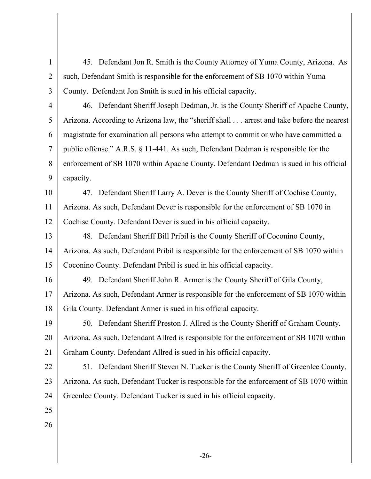1 2 3 4 5 45. Defendant Jon R. Smith is the County Attorney of Yuma County, Arizona. As such, Defendant Smith is responsible for the enforcement of SB 1070 within Yuma County. Defendant Jon Smith is sued in his official capacity. 46. Defendant Sheriff Joseph Dedman, Jr. is the County Sheriff of Apache County, Arizona. According to Arizona law, the "sheriff shall . . . arrest and take before the nearest

7 8 9 magistrate for examination all persons who attempt to commit or who have committed a public offense." A.R.S. § 11-441. As such, Defendant Dedman is responsible for the enforcement of SB 1070 within Apache County. Defendant Dedman is sued in his official capacity.

10 11 12 47. Defendant Sheriff Larry A. Dever is the County Sheriff of Cochise County, Arizona. As such, Defendant Dever is responsible for the enforcement of SB 1070 in Cochise County. Defendant Dever is sued in his official capacity.

13 14 15 48. Defendant Sheriff Bill Pribil is the County Sheriff of Coconino County, Arizona. As such, Defendant Pribil is responsible for the enforcement of SB 1070 within Coconino County. Defendant Pribil is sued in his official capacity.

16 17 49. Defendant Sheriff John R. Armer is the County Sheriff of Gila County, Arizona. As such, Defendant Armer is responsible for the enforcement of SB 1070 within

18 Gila County. Defendant Armer is sued in his official capacity.

19 20 21 50. Defendant Sheriff Preston J. Allred is the County Sheriff of Graham County, Arizona. As such, Defendant Allred is responsible for the enforcement of SB 1070 within Graham County. Defendant Allred is sued in his official capacity.

22 23 24 51. Defendant Sheriff Steven N. Tucker is the County Sheriff of Greenlee County, Arizona. As such, Defendant Tucker is responsible for the enforcement of SB 1070 within Greenlee County. Defendant Tucker is sued in his official capacity.

25

6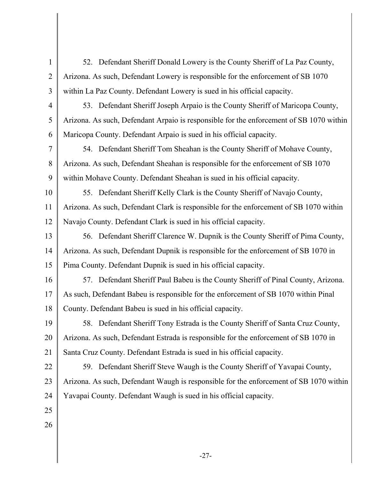1 2 3 4 5 6 7 8 9 10 11 12 13 14 15 16 17 18 19 20 21 22 23 24 25 26 52. Defendant Sheriff Donald Lowery is the County Sheriff of La Paz County, Arizona. As such, Defendant Lowery is responsible for the enforcement of SB 1070 within La Paz County. Defendant Lowery is sued in his official capacity. 53. Defendant Sheriff Joseph Arpaio is the County Sheriff of Maricopa County, Arizona. As such, Defendant Arpaio is responsible for the enforcement of SB 1070 within Maricopa County. Defendant Arpaio is sued in his official capacity. 54. Defendant Sheriff Tom Sheahan is the County Sheriff of Mohave County, Arizona. As such, Defendant Sheahan is responsible for the enforcement of SB 1070 within Mohave County. Defendant Sheahan is sued in his official capacity. 55. Defendant Sheriff Kelly Clark is the County Sheriff of Navajo County, Arizona. As such, Defendant Clark is responsible for the enforcement of SB 1070 within Navajo County. Defendant Clark is sued in his official capacity. 56. Defendant Sheriff Clarence W. Dupnik is the County Sheriff of Pima County, Arizona. As such, Defendant Dupnik is responsible for the enforcement of SB 1070 in Pima County. Defendant Dupnik is sued in his official capacity. 57. Defendant Sheriff Paul Babeu is the County Sheriff of Pinal County, Arizona. As such, Defendant Babeu is responsible for the enforcement of SB 1070 within Pinal County. Defendant Babeu is sued in his official capacity. 58. Defendant Sheriff Tony Estrada is the County Sheriff of Santa Cruz County, Arizona. As such, Defendant Estrada is responsible for the enforcement of SB 1070 in Santa Cruz County. Defendant Estrada is sued in his official capacity. 59. Defendant Sheriff Steve Waugh is the County Sheriff of Yavapai County, Arizona. As such, Defendant Waugh is responsible for the enforcement of SB 1070 within Yavapai County. Defendant Waugh is sued in his official capacity.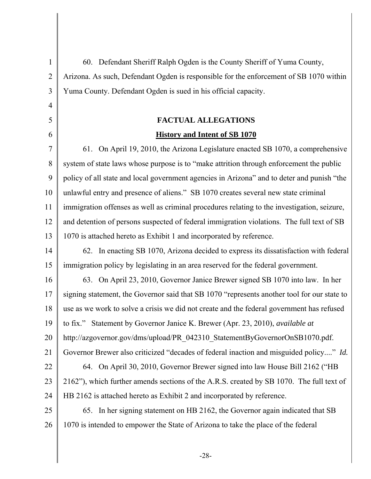| $\mathbf{1}$   | 60. Defendant Sheriff Ralph Ogden is the County Sheriff of Yuma County,                     |
|----------------|---------------------------------------------------------------------------------------------|
| $\overline{2}$ | Arizona. As such, Defendant Ogden is responsible for the enforcement of SB 1070 within      |
| 3              | Yuma County. Defendant Ogden is sued in his official capacity.                              |
| $\overline{4}$ |                                                                                             |
| 5              | <b>FACTUAL ALLEGATIONS</b>                                                                  |
| 6              | <b>History and Intent of SB 1070</b>                                                        |
| $\overline{7}$ | 61. On April 19, 2010, the Arizona Legislature enacted SB 1070, a comprehensive             |
| 8              | system of state laws whose purpose is to "make attrition through enforcement the public     |
| 9              | policy of all state and local government agencies in Arizona" and to deter and punish "the  |
| 10             | unlawful entry and presence of aliens." SB 1070 creates several new state criminal          |
| 11             | immigration offenses as well as criminal procedures relating to the investigation, seizure, |
| 12             | and detention of persons suspected of federal immigration violations. The full text of SB   |
| 13             | 1070 is attached hereto as Exhibit 1 and incorporated by reference.                         |
| 14             | 62. In enacting SB 1070, Arizona decided to express its dissatisfaction with federal        |
| 15             | immigration policy by legislating in an area reserved for the federal government.           |
| 16             | 63. On April 23, 2010, Governor Janice Brewer signed SB 1070 into law. In her               |
| 17             | signing statement, the Governor said that SB 1070 "represents another tool for our state to |
| 18             | use as we work to solve a crisis we did not create and the federal government has refused   |
| 19             | to fix." Statement by Governor Janice K. Brewer (Apr. 23, 2010), available at               |
| 20             | http://azgovernor.gov/dms/upload/PR 042310 StatementByGovernorOnSB1070.pdf.                 |
| 21             | Governor Brewer also criticized "decades of federal inaction and misguided policy" Id.      |
| 22             | 64. On April 30, 2010, Governor Brewer signed into law House Bill 2162 ("HB                 |
| 23             | 2162"), which further amends sections of the A.R.S. created by SB 1070. The full text of    |
| 24             | HB 2162 is attached hereto as Exhibit 2 and incorporated by reference.                      |
| 25             | 65. In her signing statement on HB 2162, the Governor again indicated that SB               |
| 26             | 1070 is intended to empower the State of Arizona to take the place of the federal           |
|                |                                                                                             |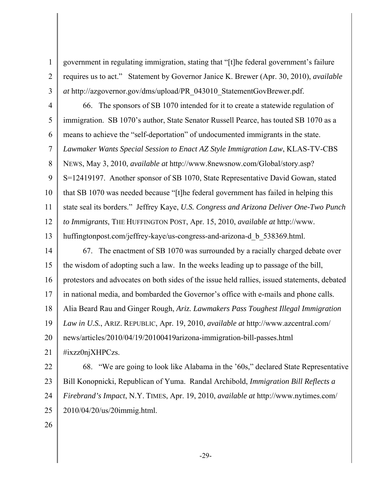government in regulating immigration, stating that "[t]he federal government's failure requires us to act." Statement by Governor Janice K. Brewer (Apr. 30, 2010), *available at* http://azgovernor.gov/dms/upload/PR\_043010\_StatementGovBrewer.pdf.

4 5 6 7 8 9 10 11 12 13 66. The sponsors of SB 1070 intended for it to create a statewide regulation of immigration. SB 1070's author, State Senator Russell Pearce, has touted SB 1070 as a means to achieve the "self-deportation" of undocumented immigrants in the state. *Lawmaker Wants Special Session to Enact AZ Style Immigration Law*, KLAS-TV-CBS NEWS, May 3, 2010, *available at* http://www.8newsnow.com/Global/story.asp? S=12419197. Another sponsor of SB 1070, State Representative David Gowan, stated that SB 1070 was needed because "[t]he federal government has failed in helping this state seal its borders." Jeffrey Kaye, *U.S. Congress and Arizona Deliver One-Two Punch to Immigrants*, THE HUFFINGTON POST, Apr. 15, 2010, *available at* http://www. huffingtonpost.com/jeffrey-kaye/us-congress-and-arizona-d\_b\_538369.html.

14 15 16 17 18 19 20 21 67. The enactment of SB 1070 was surrounded by a racially charged debate over the wisdom of adopting such a law. In the weeks leading up to passage of the bill, protestors and advocates on both sides of the issue held rallies, issued statements, debated in national media, and bombarded the Governor's office with e-mails and phone calls. Alia Beard Rau and Ginger Rough, *Ariz. Lawmakers Pass Toughest Illegal Immigration Law in U.S.*, ARIZ. REPUBLIC, Apr. 19, 2010, *available at* http://www.azcentral.com/ news/articles/2010/04/19/20100419arizona-immigration-bill-passes.html #ixzz0njXHPCzs.

22 23 24 25 68. "We are going to look like Alabama in the '60s," declared State Representative Bill Konopnicki, Republican of Yuma. Randal Archibold, *Immigration Bill Reflects a Firebrand's Impact*, N.Y. TIMES, Apr. 19, 2010, *available at* http://www.nytimes.com/ 2010/04/20/us/20immig.html.

26

1

2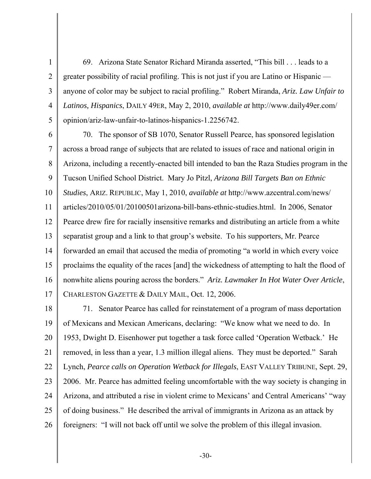69. Arizona State Senator Richard Miranda asserted, "This bill . . . leads to a greater possibility of racial profiling. This is not just if you are Latino or Hispanic anyone of color may be subject to racial profiling." Robert Miranda, *Ariz. Law Unfair to Latinos, Hispanics*, DAILY 49ER, May 2, 2010, *available at* http://www.daily49er.com/ opinion/ariz-law-unfair-to-latinos-hispanics-1.2256742.

1

2

3

4

5

6 7 8 9 10 11 12 13 14 15 16 17 70. The sponsor of SB 1070, Senator Russell Pearce, has sponsored legislation across a broad range of subjects that are related to issues of race and national origin in Arizona, including a recently-enacted bill intended to ban the Raza Studies program in the Tucson Unified School District. Mary Jo Pitzl, *Arizona Bill Targets Ban on Ethnic Studies*, ARIZ. REPUBLIC, May 1, 2010, *available at* http://www.azcentral.com/news/ articles/2010/05/01/20100501arizona-bill-bans-ethnic-studies.html. In 2006, Senator Pearce drew fire for racially insensitive remarks and distributing an article from a white separatist group and a link to that group's website. To his supporters, Mr. Pearce forwarded an email that accused the media of promoting "a world in which every voice proclaims the equality of the races [and] the wickedness of attempting to halt the flood of nonwhite aliens pouring across the borders." *Ariz. Lawmaker In Hot Water Over Article*, CHARLESTON GAZETTE & DAILY MAIL, Oct. 12, 2006.

18 19 20 21 22 23 24 25 26 71. Senator Pearce has called for reinstatement of a program of mass deportation of Mexicans and Mexican Americans, declaring: "We know what we need to do. In 1953, Dwight D. Eisenhower put together a task force called 'Operation Wetback.' He removed, in less than a year, 1.3 million illegal aliens. They must be deported." Sarah Lynch, *Pearce calls on Operation Wetback for Illegals*, EAST VALLEY TRIBUNE, Sept. 29, 2006. Mr. Pearce has admitted feeling uncomfortable with the way society is changing in Arizona, and attributed a rise in violent crime to Mexicans' and Central Americans' "way of doing business." He described the arrival of immigrants in Arizona as an attack by foreigners: "I will not back off until we solve the problem of this illegal invasion.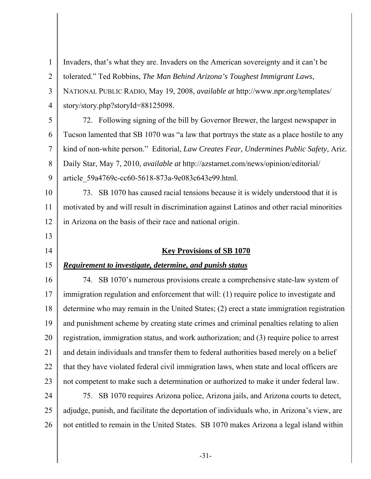1 2 3 4 5 6 7 8 9 10 11 12 13 14 15 16 17 18 19 20 21 22 23 24 25 26 Invaders, that's what they are. Invaders on the American sovereignty and it can't be tolerated." Ted Robbins, *The Man Behind Arizona's Toughest Immigrant Laws*, NATIONAL PUBLIC RADIO, May 19, 2008, *available at* http://www.npr.org/templates/ story/story.php?storyId=88125098. 72. Following signing of the bill by Governor Brewer, the largest newspaper in Tucson lamented that SB 1070 was "a law that portrays the state as a place hostile to any kind of non-white person." Editorial, *Law Creates Fear, Undermines Public Safety*, Ariz. Daily Star, May 7, 2010, *available at* http://azstarnet.com/news/opinion/editorial/ article\_59a4769c-cc60-5618-873a-9e083c643e99.html. 73. SB 1070 has caused racial tensions because it is widely understood that it is motivated by and will result in discrimination against Latinos and other racial minorities in Arizona on the basis of their race and national origin. **Key Provisions of SB 1070** *Requirement to investigate, determine, and punish status* 74. SB 1070's numerous provisions create a comprehensive state-law system of immigration regulation and enforcement that will: (1) require police to investigate and determine who may remain in the United States; (2) erect a state immigration registration and punishment scheme by creating state crimes and criminal penalties relating to alien registration, immigration status, and work authorization; and (3) require police to arrest and detain individuals and transfer them to federal authorities based merely on a belief that they have violated federal civil immigration laws, when state and local officers are not competent to make such a determination or authorized to make it under federal law. 75. SB 1070 requires Arizona police, Arizona jails, and Arizona courts to detect, adjudge, punish, and facilitate the deportation of individuals who, in Arizona's view, are not entitled to remain in the United States. SB 1070 makes Arizona a legal island within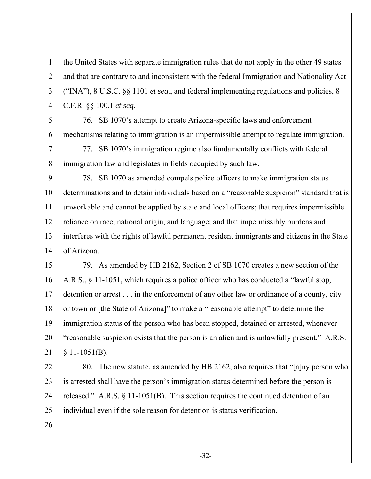the United States with separate immigration rules that do not apply in the other 49 states and that are contrary to and inconsistent with the federal Immigration and Nationality Act ("INA"), 8 U.S.C. §§ 1101 *et seq.*, and federal implementing regulations and policies, 8 C.F.R. §§ 100.1 *et seq.*

5 6 76. SB 1070's attempt to create Arizona-specific laws and enforcement mechanisms relating to immigration is an impermissible attempt to regulate immigration.

7 8 77. SB 1070's immigration regime also fundamentally conflicts with federal immigration law and legislates in fields occupied by such law.

9 10 11 12 13 14 78. SB 1070 as amended compels police officers to make immigration status determinations and to detain individuals based on a "reasonable suspicion" standard that is unworkable and cannot be applied by state and local officers; that requires impermissible reliance on race, national origin, and language; and that impermissibly burdens and interferes with the rights of lawful permanent resident immigrants and citizens in the State of Arizona.

15 16 17 18 19 20 21 79. As amended by HB 2162, Section 2 of SB 1070 creates a new section of the A.R.S., § 11-1051, which requires a police officer who has conducted a "lawful stop, detention or arrest . . . in the enforcement of any other law or ordinance of a county, city or town or [the State of Arizona]" to make a "reasonable attempt" to determine the immigration status of the person who has been stopped, detained or arrested, whenever "reasonable suspicion exists that the person is an alien and is unlawfully present." A.R.S.  $§ 11-1051(B).$ 

22 23 24 25 80. The new statute, as amended by HB 2162, also requires that "[a]ny person who is arrested shall have the person's immigration status determined before the person is released." A.R.S. § 11-1051(B). This section requires the continued detention of an individual even if the sole reason for detention is status verification.

26

1

2

3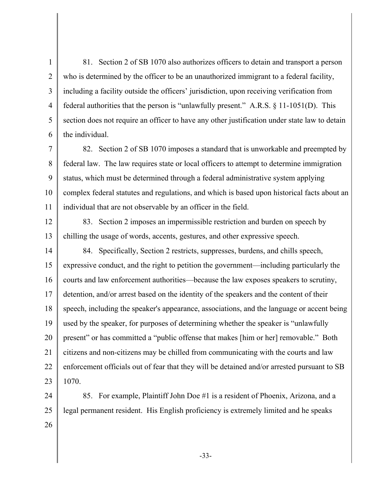1 2 3 4 5 6 81. Section 2 of SB 1070 also authorizes officers to detain and transport a person who is determined by the officer to be an unauthorized immigrant to a federal facility, including a facility outside the officers' jurisdiction, upon receiving verification from federal authorities that the person is "unlawfully present." A.R.S. § 11-1051(D). This section does not require an officer to have any other justification under state law to detain the individual.

7 8 9 10 11 82. Section 2 of SB 1070 imposes a standard that is unworkable and preempted by federal law. The law requires state or local officers to attempt to determine immigration status, which must be determined through a federal administrative system applying complex federal statutes and regulations, and which is based upon historical facts about an individual that are not observable by an officer in the field.

12

13

83. Section 2 imposes an impermissible restriction and burden on speech by chilling the usage of words, accents, gestures, and other expressive speech.

14 15 16 17 18 19 20 21 22 23 84. Specifically, Section 2 restricts, suppresses, burdens, and chills speech, expressive conduct, and the right to petition the government—including particularly the courts and law enforcement authorities—because the law exposes speakers to scrutiny, detention, and/or arrest based on the identity of the speakers and the content of their speech, including the speaker's appearance, associations, and the language or accent being used by the speaker, for purposes of determining whether the speaker is "unlawfully present" or has committed a "public offense that makes [him or her] removable." Both citizens and non-citizens may be chilled from communicating with the courts and law enforcement officials out of fear that they will be detained and/or arrested pursuant to SB 1070.

24 25 26 85. For example, Plaintiff John Doe #1 is a resident of Phoenix, Arizona, and a legal permanent resident. His English proficiency is extremely limited and he speaks

-33-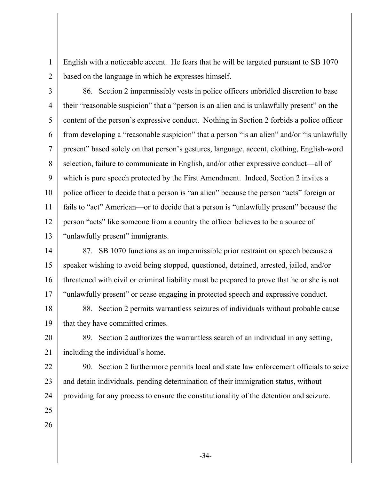English with a noticeable accent. He fears that he will be targeted pursuant to SB 1070 based on the language in which he expresses himself.

2

1

3 4 5 6 7 8 9 10 11 12 13 86. Section 2 impermissibly vests in police officers unbridled discretion to base their "reasonable suspicion" that a "person is an alien and is unlawfully present" on the content of the person's expressive conduct. Nothing in Section 2 forbids a police officer from developing a "reasonable suspicion" that a person "is an alien" and/or "is unlawfully present" based solely on that person's gestures, language, accent, clothing, English-word selection, failure to communicate in English, and/or other expressive conduct—all of which is pure speech protected by the First Amendment. Indeed, Section 2 invites a police officer to decide that a person is "an alien" because the person "acts" foreign or fails to "act" American—or to decide that a person is "unlawfully present" because the person "acts" like someone from a country the officer believes to be a source of "unlawfully present" immigrants.

14 15 16 17 87. SB 1070 functions as an impermissible prior restraint on speech because a speaker wishing to avoid being stopped, questioned, detained, arrested, jailed, and/or threatened with civil or criminal liability must be prepared to prove that he or she is not "unlawfully present" or cease engaging in protected speech and expressive conduct.

18 19 88. Section 2 permits warrantless seizures of individuals without probable cause that they have committed crimes.

20 21

89. Section 2 authorizes the warrantless search of an individual in any setting, including the individual's home.

22 23 24 25 90. Section 2 furthermore permits local and state law enforcement officials to seize and detain individuals, pending determination of their immigration status, without providing for any process to ensure the constitutionality of the detention and seizure.

- 
- 26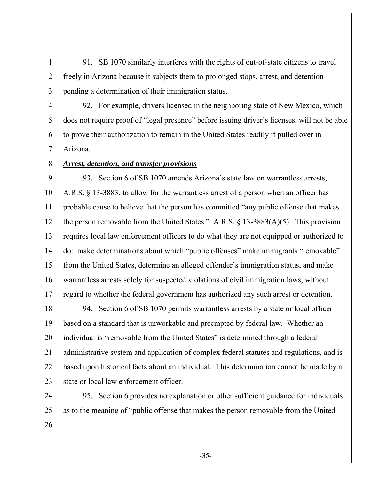91. SB 1070 similarly interferes with the rights of out-of-state citizens to travel freely in Arizona because it subjects them to prolonged stops, arrest, and detention pending a determination of their immigration status.

4 5 6 7 92. For example, drivers licensed in the neighboring state of New Mexico, which does not require proof of "legal presence" before issuing driver's licenses, will not be able to prove their authorization to remain in the United States readily if pulled over in Arizona.

## 8

1

2

3

## 9 *Arrest, detention, and transfer provisions* 93. Section 6 of SB 1070 amends Arizona's state law on warrantless arrests,

10 11 12 13 14 15 16 17 A.R.S. § 13-3883, to allow for the warrantless arrest of a person when an officer has probable cause to believe that the person has committed "any public offense that makes the person removable from the United States." A.R.S. § 13-3883(A)(5). This provision requires local law enforcement officers to do what they are not equipped or authorized to do: make determinations about which "public offenses" make immigrants "removable" from the United States, determine an alleged offender's immigration status, and make warrantless arrests solely for suspected violations of civil immigration laws, without regard to whether the federal government has authorized any such arrest or detention.

18 19 20 21 22 23 94. Section 6 of SB 1070 permits warrantless arrests by a state or local officer based on a standard that is unworkable and preempted by federal law. Whether an individual is "removable from the United States" is determined through a federal administrative system and application of complex federal statutes and regulations, and is based upon historical facts about an individual. This determination cannot be made by a state or local law enforcement officer.

24 25 95. Section 6 provides no explanation or other sufficient guidance for individuals as to the meaning of "public offense that makes the person removable from the United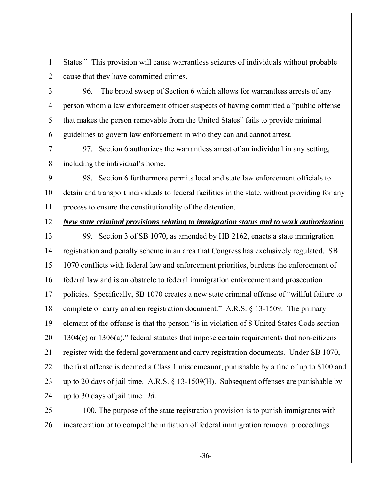1 2 States." This provision will cause warrantless seizures of individuals without probable cause that they have committed crimes.

3 4 5 6 96. The broad sweep of Section 6 which allows for warrantless arrests of any person whom a law enforcement officer suspects of having committed a "public offense that makes the person removable from the United States" fails to provide minimal guidelines to govern law enforcement in who they can and cannot arrest.

7 8 97. Section 6 authorizes the warrantless arrest of an individual in any setting, including the individual's home.

9 10 11 98. Section 6 furthermore permits local and state law enforcement officials to detain and transport individuals to federal facilities in the state, without providing for any process to ensure the constitutionality of the detention.

12

*New state criminal provisions relating to immigration status and to work authorization* 

13 14 15 16 17 18 19 20 21 22 23 24 99. Section 3 of SB 1070, as amended by HB 2162, enacts a state immigration registration and penalty scheme in an area that Congress has exclusively regulated. SB 1070 conflicts with federal law and enforcement priorities, burdens the enforcement of federal law and is an obstacle to federal immigration enforcement and prosecution policies. Specifically, SB 1070 creates a new state criminal offense of "willful failure to complete or carry an alien registration document." A.R.S. § 13-1509. The primary element of the offense is that the person "is in violation of 8 United States Code section 1304(e) or 1306(a)," federal statutes that impose certain requirements that non-citizens register with the federal government and carry registration documents. Under SB 1070, the first offense is deemed a Class 1 misdemeanor, punishable by a fine of up to \$100 and up to 20 days of jail time. A.R.S. § 13-1509(H). Subsequent offenses are punishable by up to 30 days of jail time. *Id.*

25 26 100. The purpose of the state registration provision is to punish immigrants with incarceration or to compel the initiation of federal immigration removal proceedings

-36-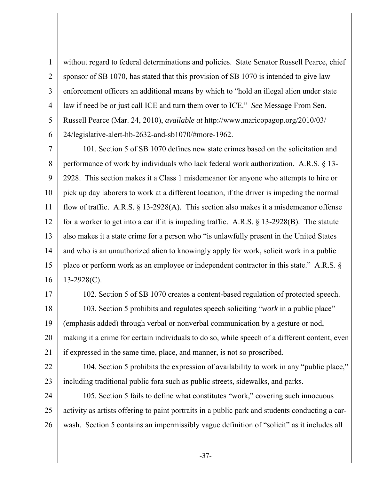1 2 3 4 5 6 without regard to federal determinations and policies. State Senator Russell Pearce, chief sponsor of SB 1070, has stated that this provision of SB 1070 is intended to give law enforcement officers an additional means by which to "hold an illegal alien under state law if need be or just call ICE and turn them over to ICE." *See* Message From Sen. Russell Pearce (Mar. 24, 2010), *available at* http://www.maricopagop.org/2010/03/ 24/legislative-alert-hb-2632-and-sb1070/#more-1962.

7 8 9 10 11 12 13 14 15 16 101. Section 5 of SB 1070 defines new state crimes based on the solicitation and performance of work by individuals who lack federal work authorization. A.R.S. § 13- 2928. This section makes it a Class 1 misdemeanor for anyone who attempts to hire or pick up day laborers to work at a different location, if the driver is impeding the normal flow of traffic. A.R.S.  $\S$  13-2928(A). This section also makes it a misdemeanor offense for a worker to get into a car if it is impeding traffic. A.R.S. § 13-2928(B). The statute also makes it a state crime for a person who "is unlawfully present in the United States and who is an unauthorized alien to knowingly apply for work, solicit work in a public place or perform work as an employee or independent contractor in this state." A.R.S. § 13-2928(C).

17

18 19 20 21 102. Section 5 of SB 1070 creates a content-based regulation of protected speech. 103. Section 5 prohibits and regulates speech soliciting "*work* in a public place" (emphasis added) through verbal or nonverbal communication by a gesture or nod, making it a crime for certain individuals to do so, while speech of a different content, even if expressed in the same time, place, and manner, is not so proscribed.

22

23 104. Section 5 prohibits the expression of availability to work in any "public place," including traditional public fora such as public streets, sidewalks, and parks.

24 25 26 105. Section 5 fails to define what constitutes "work," covering such innocuous activity as artists offering to paint portraits in a public park and students conducting a carwash. Section 5 contains an impermissibly vague definition of "solicit" as it includes all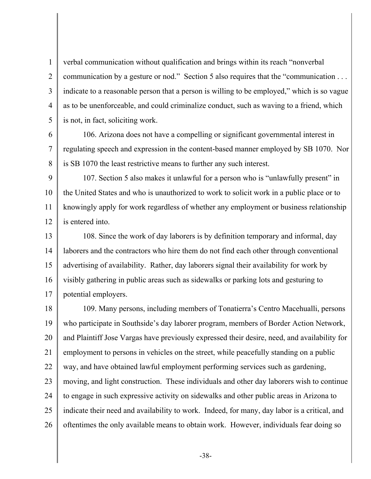2 3 4 verbal communication without qualification and brings within its reach "nonverbal communication by a gesture or nod." Section 5 also requires that the "communication . . . indicate to a reasonable person that a person is willing to be employed," which is so vague as to be unenforceable, and could criminalize conduct, such as waving to a friend, which is not, in fact, soliciting work.

1

5

6 7 8 106. Arizona does not have a compelling or significant governmental interest in regulating speech and expression in the content-based manner employed by SB 1070. Nor is SB 1070 the least restrictive means to further any such interest.

9 10 11 12 107. Section 5 also makes it unlawful for a person who is "unlawfully present" in the United States and who is unauthorized to work to solicit work in a public place or to knowingly apply for work regardless of whether any employment or business relationship is entered into.

13 14 15 16 17 108. Since the work of day laborers is by definition temporary and informal, day laborers and the contractors who hire them do not find each other through conventional advertising of availability. Rather, day laborers signal their availability for work by visibly gathering in public areas such as sidewalks or parking lots and gesturing to potential employers.

18 19 20 21 22 23 24 25 26 109. Many persons, including members of Tonatierra's Centro Macehualli, persons who participate in Southside's day laborer program, members of Border Action Network, and Plaintiff Jose Vargas have previously expressed their desire, need, and availability for employment to persons in vehicles on the street, while peacefully standing on a public way, and have obtained lawful employment performing services such as gardening, moving, and light construction. These individuals and other day laborers wish to continue to engage in such expressive activity on sidewalks and other public areas in Arizona to indicate their need and availability to work. Indeed, for many, day labor is a critical, and oftentimes the only available means to obtain work. However, individuals fear doing so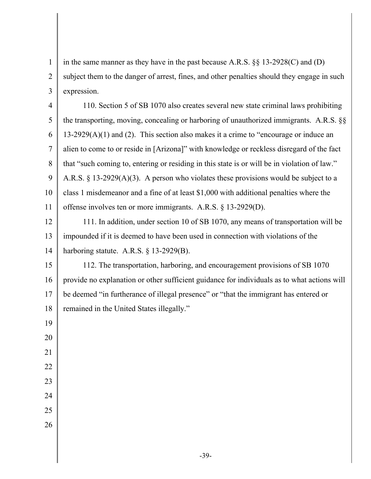1 2 3 in the same manner as they have in the past because A.R.S. §§ 13-2928(C) and (D) subject them to the danger of arrest, fines, and other penalties should they engage in such expression.

4 5 6 7 8 9 10 11 110. Section 5 of SB 1070 also creates several new state criminal laws prohibiting the transporting, moving, concealing or harboring of unauthorized immigrants. A.R.S. §§  $13-2929(A)(1)$  and (2). This section also makes it a crime to "encourage or induce an alien to come to or reside in [Arizona]" with knowledge or reckless disregard of the fact that "such coming to, entering or residing in this state is or will be in violation of law." A.R.S. § 13-2929(A)(3). A person who violates these provisions would be subject to a class 1 misdemeanor and a fine of at least \$1,000 with additional penalties where the offense involves ten or more immigrants. A.R.S. § 13-2929(D).

12 13 14 111. In addition, under section 10 of SB 1070, any means of transportation will be impounded if it is deemed to have been used in connection with violations of the harboring statute. A.R.S. § 13-2929(B).

15 16 17 18 112. The transportation, harboring, and encouragement provisions of SB 1070 provide no explanation or other sufficient guidance for individuals as to what actions will be deemed "in furtherance of illegal presence" or "that the immigrant has entered or remained in the United States illegally."

- 19 20 21 22 23
- 24
- 25 26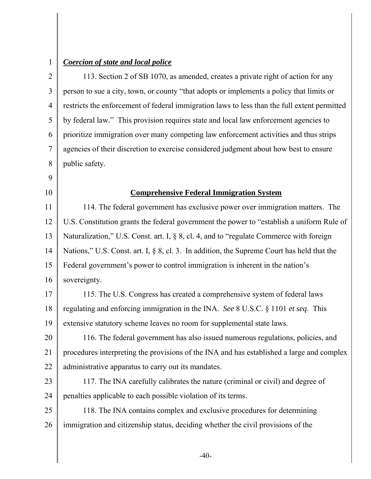1

### *Coercion of state and local police*

2 3 4 5 6 7 8 113. Section 2 of SB 1070, as amended, creates a private right of action for any person to sue a city, town, or county "that adopts or implements a policy that limits or restricts the enforcement of federal immigration laws to less than the full extent permitted by federal law." This provision requires state and local law enforcement agencies to prioritize immigration over many competing law enforcement activities and thus strips agencies of their discretion to exercise considered judgment about how best to ensure public safety.

10

9

### **Comprehensive Federal Immigration System**

11 12 13 14 15 16 114. The federal government has exclusive power over immigration matters. The U.S. Constitution grants the federal government the power to "establish a uniform Rule of Naturalization," U.S. Const. art. I, § 8, cl. 4, and to "regulate Commerce with foreign Nations," U.S. Const. art. I, § 8, cl. 3. In addition, the Supreme Court has held that the Federal government's power to control immigration is inherent in the nation's sovereignty.

17 18 19 115. The U.S. Congress has created a comprehensive system of federal laws regulating and enforcing immigration in the INA. *See* 8 U.S.C. § 1101 *et seq*. This extensive statutory scheme leaves no room for supplemental state laws.

20 21 22 116. The federal government has also issued numerous regulations, policies, and procedures interpreting the provisions of the INA and has established a large and complex administrative apparatus to carry out its mandates.

23 24 117. The INA carefully calibrates the nature (criminal or civil) and degree of penalties applicable to each possible violation of its terms.

25 26 118. The INA contains complex and exclusive procedures for determining immigration and citizenship status, deciding whether the civil provisions of the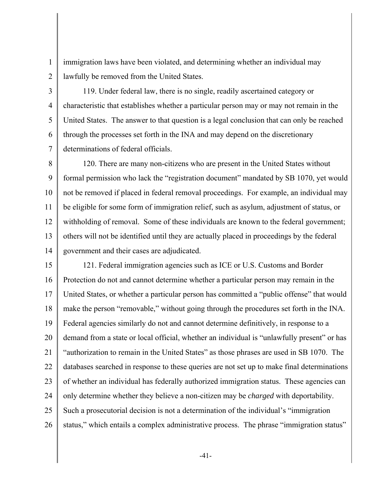immigration laws have been violated, and determining whether an individual may lawfully be removed from the United States.

2 3

1

4

5

6

7

119. Under federal law, there is no single, readily ascertained category or characteristic that establishes whether a particular person may or may not remain in the United States. The answer to that question is a legal conclusion that can only be reached through the processes set forth in the INA and may depend on the discretionary determinations of federal officials.

8 9 10 11 12 13 14 120. There are many non-citizens who are present in the United States without formal permission who lack the "registration document" mandated by SB 1070, yet would not be removed if placed in federal removal proceedings. For example, an individual may be eligible for some form of immigration relief, such as asylum, adjustment of status, or withholding of removal. Some of these individuals are known to the federal government; others will not be identified until they are actually placed in proceedings by the federal government and their cases are adjudicated.

15 16 17 18 19 20 21 22 23 24 25 26 121. Federal immigration agencies such as ICE or U.S. Customs and Border Protection do not and cannot determine whether a particular person may remain in the United States, or whether a particular person has committed a "public offense" that would make the person "removable," without going through the procedures set forth in the INA. Federal agencies similarly do not and cannot determine definitively, in response to a demand from a state or local official, whether an individual is "unlawfully present" or has "authorization to remain in the United States" as those phrases are used in SB 1070. The databases searched in response to these queries are not set up to make final determinations of whether an individual has federally authorized immigration status. These agencies can only determine whether they believe a non-citizen may be *charged* with deportability. Such a prosecutorial decision is not a determination of the individual's "immigration status," which entails a complex administrative process. The phrase "immigration status"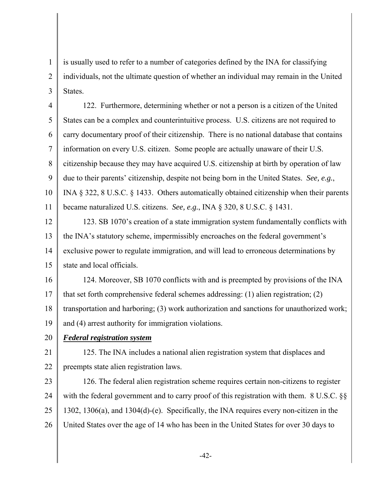1 2 3 is usually used to refer to a number of categories defined by the INA for classifying individuals, not the ultimate question of whether an individual may remain in the United **States** 

4 5 6 7 8 9 10 11 122. Furthermore, determining whether or not a person is a citizen of the United States can be a complex and counterintuitive process. U.S. citizens are not required to carry documentary proof of their citizenship. There is no national database that contains information on every U.S. citizen. Some people are actually unaware of their U.S. citizenship because they may have acquired U.S. citizenship at birth by operation of law due to their parents' citizenship, despite not being born in the United States. *See, e.g.*, INA § 322, 8 U.S.C. § 1433. Others automatically obtained citizenship when their parents became naturalized U.S. citizens. *See, e.g.*, INA § 320, 8 U.S.C. § 1431.

12 13 14 15 123. SB 1070's creation of a state immigration system fundamentally conflicts with the INA's statutory scheme, impermissibly encroaches on the federal government's exclusive power to regulate immigration, and will lead to erroneous determinations by state and local officials.

16 17 18 19 124. Moreover, SB 1070 conflicts with and is preempted by provisions of the INA that set forth comprehensive federal schemes addressing: (1) alien registration; (2) transportation and harboring; (3) work authorization and sanctions for unauthorized work; and (4) arrest authority for immigration violations.

20 *Federal registration system*

21 22 125. The INA includes a national alien registration system that displaces and preempts state alien registration laws.

23 24 25 26 126. The federal alien registration scheme requires certain non-citizens to register with the federal government and to carry proof of this registration with them. 8 U.S.C. §§ 1302, 1306(a), and 1304(d)-(e). Specifically, the INA requires every non-citizen in the United States over the age of 14 who has been in the United States for over 30 days to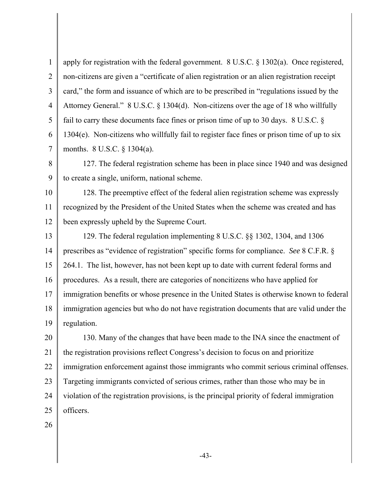1 2 3 4 5 6 7 apply for registration with the federal government. 8 U.S.C. § 1302(a). Once registered, non-citizens are given a "certificate of alien registration or an alien registration receipt card," the form and issuance of which are to be prescribed in "regulations issued by the Attorney General." 8 U.S.C. § 1304(d). Non-citizens over the age of 18 who willfully fail to carry these documents face fines or prison time of up to 30 days. 8 U.S.C. § 1304(e). Non-citizens who willfully fail to register face fines or prison time of up to six months. 8 U.S.C. § 1304(a).

8 9 127. The federal registration scheme has been in place since 1940 and was designed to create a single, uniform, national scheme.

10 11 12 128. The preemptive effect of the federal alien registration scheme was expressly recognized by the President of the United States when the scheme was created and has been expressly upheld by the Supreme Court.

13 14 15 16 17 18 19 129. The federal regulation implementing 8 U.S.C. §§ 1302, 1304, and 1306 prescribes as "evidence of registration" specific forms for compliance. *See* 8 C.F.R. § 264.1. The list, however, has not been kept up to date with current federal forms and procedures. As a result, there are categories of noncitizens who have applied for immigration benefits or whose presence in the United States is otherwise known to federal immigration agencies but who do not have registration documents that are valid under the regulation.

20 21 22 23 24 25 130. Many of the changes that have been made to the INA since the enactment of the registration provisions reflect Congress's decision to focus on and prioritize immigration enforcement against those immigrants who commit serious criminal offenses. Targeting immigrants convicted of serious crimes, rather than those who may be in violation of the registration provisions, is the principal priority of federal immigration officers.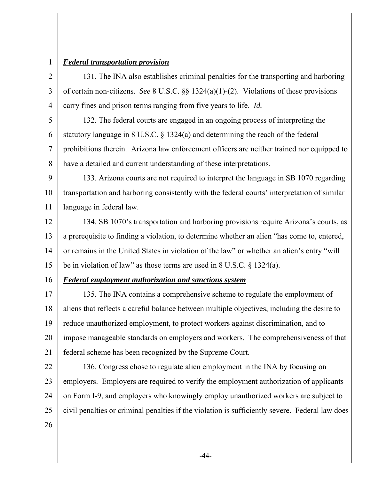1

2

3

4

### *Federal transportation provision*

131. The INA also establishes criminal penalties for the transporting and harboring of certain non-citizens. *See* 8 U.S.C. §§ 1324(a)(1)-(2). Violations of these provisions carry fines and prison terms ranging from five years to life. *Id.*

5 6 7 8 132. The federal courts are engaged in an ongoing process of interpreting the statutory language in 8 U.S.C. § 1324(a) and determining the reach of the federal prohibitions therein. Arizona law enforcement officers are neither trained nor equipped to have a detailed and current understanding of these interpretations.

9 10 11 133. Arizona courts are not required to interpret the language in SB 1070 regarding transportation and harboring consistently with the federal courts' interpretation of similar language in federal law.

12 13 14 15 134. SB 1070's transportation and harboring provisions require Arizona's courts, as a prerequisite to finding a violation, to determine whether an alien "has come to, entered, or remains in the United States in violation of the law" or whether an alien's entry "will be in violation of law" as those terms are used in 8 U.S.C. § 1324(a).

### 16

## *Federal employment authorization and sanctions system*

17 18 19 20 21 135. The INA contains a comprehensive scheme to regulate the employment of aliens that reflects a careful balance between multiple objectives, including the desire to reduce unauthorized employment, to protect workers against discrimination, and to impose manageable standards on employers and workers. The comprehensiveness of that federal scheme has been recognized by the Supreme Court.

22

23

24

25

136. Congress chose to regulate alien employment in the INA by focusing on employers. Employers are required to verify the employment authorization of applicants on Form I-9, and employers who knowingly employ unauthorized workers are subject to civil penalties or criminal penalties if the violation is sufficiently severe. Federal law does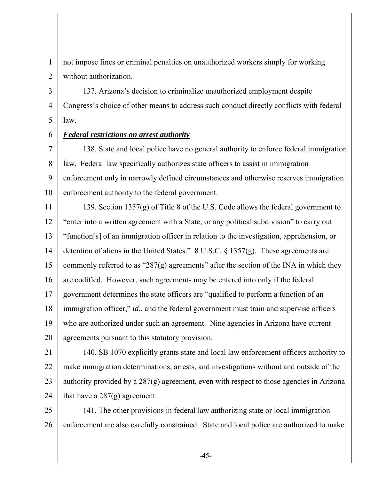1 2 not impose fines or criminal penalties on unauthorized workers simply for working without authorization.

3 4 5 137. Arizona's decision to criminalize unauthorized employment despite Congress's choice of other means to address such conduct directly conflicts with federal law.

6

# *Federal restrictions on arrest authority*

7 8 9 10 138. State and local police have no general authority to enforce federal immigration law. Federal law specifically authorizes state officers to assist in immigration enforcement only in narrowly defined circumstances and otherwise reserves immigration enforcement authority to the federal government.

11 12 13 14 15 16 17 18 19 20 139. Section 1357(g) of Title 8 of the U.S. Code allows the federal government to "enter into a written agreement with a State, or any political subdivision" to carry out "function[s] of an immigration officer in relation to the investigation, apprehension, or detention of aliens in the United States." 8 U.S.C. § 1357(g). These agreements are commonly referred to as "287 $(g)$  agreements" after the section of the INA in which they are codified. However, such agreements may be entered into only if the federal government determines the state officers are "qualified to perform a function of an immigration officer," *id.*, and the federal government must train and supervise officers who are authorized under such an agreement. Nine agencies in Arizona have current agreements pursuant to this statutory provision.

21 22 23 24 140. SB 1070 explicitly grants state and local law enforcement officers authority to make immigration determinations, arrests, and investigations without and outside of the authority provided by a 287(g) agreement, even with respect to those agencies in Arizona that have a 287(g) agreement.

25 26 141. The other provisions in federal law authorizing state or local immigration enforcement are also carefully constrained. State and local police are authorized to make

-45-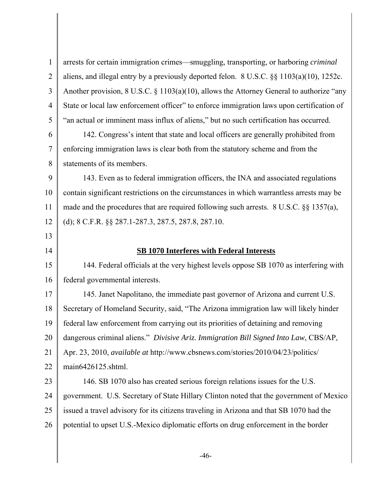1 2 3 4 5 6 7 8 9 10 11 12 13 14 15 16 17 18 19 20 21 22 23 24 25 26 arrests for certain immigration crimes—smuggling, transporting, or harboring *criminal* aliens, and illegal entry by a previously deported felon. 8 U.S.C. §§ 1103(a)(10), 1252c. Another provision, 8 U.S.C. § 1103(a)(10), allows the Attorney General to authorize "any State or local law enforcement officer" to enforce immigration laws upon certification of "an actual or imminent mass influx of aliens," but no such certification has occurred. 142. Congress's intent that state and local officers are generally prohibited from enforcing immigration laws is clear both from the statutory scheme and from the statements of its members. 143. Even as to federal immigration officers, the INA and associated regulations contain significant restrictions on the circumstances in which warrantless arrests may be made and the procedures that are required following such arrests. 8 U.S.C. §§ 1357(a), (d); 8 C.F.R. §§ 287.1-287.3, 287.5, 287.8, 287.10. **SB 1070 Interferes with Federal Interests** 144. Federal officials at the very highest levels oppose SB 1070 as interfering with federal governmental interests. 145. Janet Napolitano, the immediate past governor of Arizona and current U.S. Secretary of Homeland Security, said, "The Arizona immigration law will likely hinder federal law enforcement from carrying out its priorities of detaining and removing dangerous criminal aliens." *Divisive Ariz. Immigration Bill Signed Into Law*, CBS/AP, Apr. 23, 2010, *available at* http://www.cbsnews.com/stories/2010/04/23/politics/ main6426125.shtml. 146. SB 1070 also has created serious foreign relations issues for the U.S. government. U.S. Secretary of State Hillary Clinton noted that the government of Mexico issued a travel advisory for its citizens traveling in Arizona and that SB 1070 had the potential to upset U.S.-Mexico diplomatic efforts on drug enforcement in the border

-46-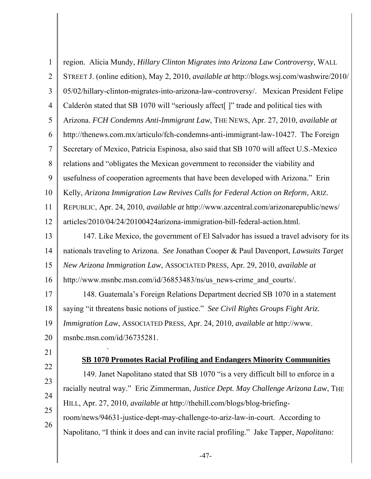1 2 3 4 5 6 7 8 9 10 11 12 13 14 15 16 17 18 19 20 21 22 23 24 25 26 region. Alicia Mundy, *Hillary Clinton Migrates into Arizona Law Controversy*, WALL STREET J. (online edition), May 2, 2010, *available at* http://blogs.wsj.com/washwire/2010/ 05/02/hillary-clinton-migrates-into-arizona-law-controversy/. Mexican President Felipe Calderón stated that SB 1070 will "seriously affect[ ]" trade and political ties with Arizona. *FCH Condemns Anti-Immigrant Law*, THE NEWS, Apr. 27, 2010, *available at* http://thenews.com.mx/articulo/fch-condemns-anti-immigrant-law-10427. The Foreign Secretary of Mexico, Patricia Espinosa, also said that SB 1070 will affect U.S.-Mexico relations and "obligates the Mexican government to reconsider the viability and usefulness of cooperation agreements that have been developed with Arizona." Erin Kelly, *Arizona Immigration Law Revives Calls for Federal Action on Reform*, ARIZ. REPUBLIC, Apr. 24, 2010, *available at* http://www.azcentral.com/arizonarepublic/news/ articles/2010/04/24/20100424arizona-immigration-bill-federal-action.html. 147. Like Mexico, the government of El Salvador has issued a travel advisory for its nationals traveling to Arizona. *See* Jonathan Cooper & Paul Davenport, *Lawsuits Target New Arizona Immigration Law*, ASSOCIATED PRESS, Apr. 29, 2010, *available at* http://www.msnbc.msn.com/id/36853483/ns/us\_news-crime\_and\_courts/. 148. Guatemala's Foreign Relations Department decried SB 1070 in a statement saying "it threatens basic notions of justice." *See Civil Rights Groups Fight Ariz. Immigration Law*, ASSOCIATED PRESS, Apr. 24, 2010, *available at* http://www. msnbc.msn.com/id/36735281. . **SB 1070 Promotes Racial Profiling and Endangers Minority Communities** 149. Janet Napolitano stated that SB 1070 "is a very difficult bill to enforce in a racially neutral way." Eric Zimmerman, *Justice Dept. May Challenge Arizona Law*, THE HILL, Apr. 27, 2010, *available at* http://thehill.com/blogs/blog-briefingroom/news/94631-justice-dept-may-challenge-to-ariz-law-in-court. According to Napolitano, "I think it does and can invite racial profiling." Jake Tapper, *Napolitano:*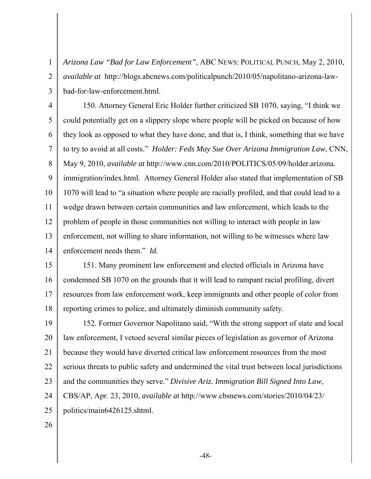*Arizona Law "Bad for Law Enforcement"*, ABC NEWS: POLITICAL PUNCH, May 2, 2010, *available at* http://blogs.abcnews.com/politicalpunch/2010/05/napolitano-arizona-lawbad-for-law-enforcement.html.

4 5 6 7 8 9 10 11 12 13 14 150. Attorney General Eric Holder further criticized SB 1070, saying, "I think we could potentially get on a slippery slope where people will be picked on because of how they look as opposed to what they have done, and that is, I think, something that we have to try to avoid at all costs." *Holder: Feds May Sue Over Arizona Immigration Law*, CNN, May 9, 2010, *available at* http://www.cnn.com/2010/POLITICS/05/09/holder.arizona. immigration/index.html. Attorney General Holder also stated that implementation of SB 1070 will lead to "a situation where people are racially profiled, and that could lead to a wedge drawn between certain communities and law enforcement, which leads to the problem of people in those communities not willing to interact with people in law enforcement, not willing to share information, not willing to be witnesses where law enforcement needs them." *Id.* 

15 16 17 18 151. Many prominent law enforcement and elected officials in Arizona have condemned SB 1070 on the grounds that it will lead to rampant racial profiling, divert resources from law enforcement work, keep immigrants and other people of color from reporting crimes to police, and ultimately diminish community safety.

19 20 21 22 23 24 25 152. Former Governor Napolitano said, "With the strong support of state and local law enforcement, I vetoed several similar pieces of legislation as governor of Arizona because they would have diverted critical law enforcement resources from the most serious threats to public safety and undermined the vital trust between local jurisdictions and the communities they serve." *Divisive Ariz. Immigration Bill Signed Into Law*, CBS/AP, Apr. 23, 2010, *available at* http://www.cbsnews.com/stories/2010/04/23/ politics/main6426125.shtml.

26

1

2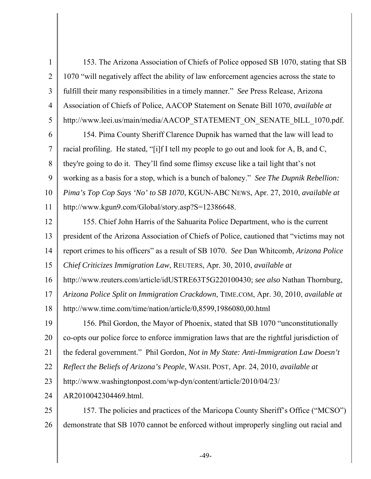1 2 3 4 5 153. The Arizona Association of Chiefs of Police opposed SB 1070, stating that SB 1070 "will negatively affect the ability of law enforcement agencies across the state to fulfill their many responsibilities in a timely manner." *See* Press Release, Arizona Association of Chiefs of Police, AACOP Statement on Senate Bill 1070, *available at* http://www.leei.us/main/media/AACOP\_STATEMENT\_ON\_SENATE\_bILL\_1070.pdf.

6 7 8 9 10 11 154. Pima County Sheriff Clarence Dupnik has warned that the law will lead to racial profiling. He stated, "[i]f I tell my people to go out and look for A, B, and C, they're going to do it. They'll find some flimsy excuse like a tail light that's not working as a basis for a stop, which is a bunch of baloney." *See The Dupnik Rebellion: Pima's Top Cop Says 'No' to SB 1070*, KGUN-ABC NEWS, Apr. 27, 2010, *available at* http://www.kgun9.com/Global/story.asp?S=12386648.

12 13 14 15 155. Chief John Harris of the Sahuarita Police Department, who is the current president of the Arizona Association of Chiefs of Police, cautioned that "victims may not report crimes to his officers" as a result of SB 1070. *See* Dan Whitcomb, *Arizona Police Chief Criticizes Immigration Law*, REUTERS, Apr. 30, 2010, *available at*

16 http://www.reuters.com/article/idUSTRE63T5G220100430; *see also* Nathan Thornburg,

17 18 *Arizona Police Split on Immigration Crackdown*, TIME.COM, Apr. 30, 2010, *available at*  http://www.time.com/time/nation/article/0,8599,1986080,00.html

19 20 21 22 23 156. Phil Gordon, the Mayor of Phoenix, stated that SB 1070 "unconstitutionally co-opts our police force to enforce immigration laws that are the rightful jurisdiction of the federal government." Phil Gordon, *Not in My State: Anti-Immigration Law Doesn't Reflect the Beliefs of Arizona's People*, WASH. POST, Apr. 24, 2010, *available at* http://www.washingtonpost.com/wp-dyn/content/article/2010/04/23/

24 AR2010042304469.html.

25 26 157. The policies and practices of the Maricopa County Sheriff's Office ("MCSO") demonstrate that SB 1070 cannot be enforced without improperly singling out racial and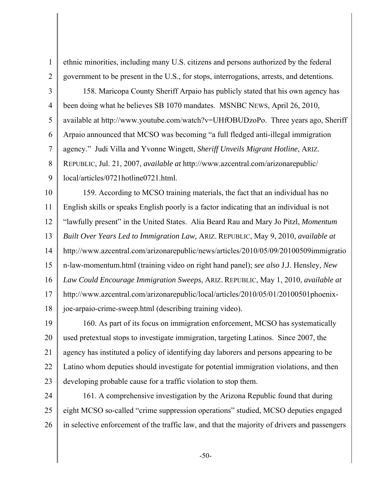ethnic minorities, including many U.S. citizens and persons authorized by the federal government to be present in the U.S., for stops, interrogations, arrests, and detentions.

3 4 5 6 7 158. Maricopa County Sheriff Arpaio has publicly stated that his own agency has been doing what he believes SB 1070 mandates. MSNBC NEWS, April 26, 2010, available at http://www.youtube.com/watch?v=UHfOBUDzoPo. Three years ago, Sheriff Arpaio announced that MCSO was becoming "a full fledged anti-illegal immigration agency." Judi Villa and Yvonne Wingett, *Sheriff Unveils Migrant Hotline*, ARIZ.

8 REPUBLIC, Jul. 21, 2007, *available at* http://www.azcentral.com/arizonarepublic/

9 local/articles/0721hotline0721.html.

1

2

10 11 12 13 14 15 16 17 18 159. According to MCSO training materials, the fact that an individual has no English skills or speaks English poorly is a factor indicating that an individual is not "lawfully present" in the United States. Alia Beard Rau and Mary Jo Pitzl, *Momentum Built Over Years Led to Immigration Law,* ARIZ. REPUBLIC, May 9, 2010, *available at*  http://www.azcentral.com/arizonarepublic/news/articles/2010/05/09/20100509immigratio n-law-momentum.html (training video on right hand panel); *see also* J.J. Hensley, *New Law Could Encourage Immigration Sweeps*, ARIZ. REPUBLIC, May 1, 2010, *available at*  http://www.azcentral.com/arizonarepublic/local/articles/2010/05/01/20100501phoenixjoe-arpaio-crime-sweep.html (describing training video).

19 20 21 22 23 160. As part of its focus on immigration enforcement, MCSO has systematically used pretextual stops to investigate immigration, targeting Latinos. Since 2007, the agency has instituted a policy of identifying day laborers and persons appearing to be Latino whom deputies should investigate for potential immigration violations, and then developing probable cause for a traffic violation to stop them.

24 25 26 161. A comprehensive investigation by the Arizona Republic found that during eight MCSO so-called "crime suppression operations" studied, MCSO deputies engaged in selective enforcement of the traffic law, and that the majority of drivers and passengers

-50-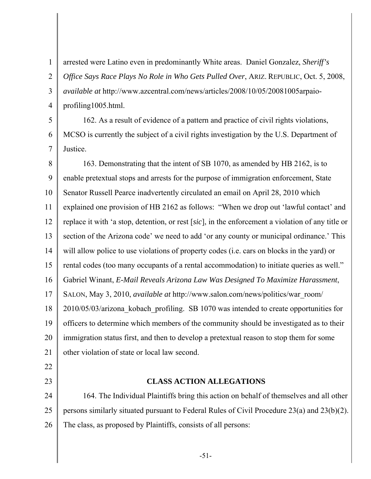2 3 4 arrested were Latino even in predominantly White areas. Daniel Gonzalez, *Sheriff's Office Says Race Plays No Role in Who Gets Pulled Over*, ARIZ. REPUBLIC, Oct. 5, 2008, *available at* http://www.azcentral.com/news/articles/2008/10/05/20081005arpaioprofiling1005.html.

5

6

7

1

162. As a result of evidence of a pattern and practice of civil rights violations, MCSO is currently the subject of a civil rights investigation by the U.S. Department of Justice.

8 9 10 11 12 13 14 15 16 17 18 19 20 21 163. Demonstrating that the intent of SB 1070, as amended by HB 2162, is to enable pretextual stops and arrests for the purpose of immigration enforcement, State Senator Russell Pearce inadvertently circulated an email on April 28, 2010 which explained one provision of HB 2162 as follows: "When we drop out 'lawful contact' and replace it with 'a stop, detention, or rest [*sic*], in the enforcement a violation of any title or section of the Arizona code' we need to add 'or any county or municipal ordinance.' This will allow police to use violations of property codes (i.e. cars on blocks in the yard) or rental codes (too many occupants of a rental accommodation) to initiate queries as well." Gabriel Winant, *E-Mail Reveals Arizona Law Was Designed To Maximize Harassment*, SALON, May 3, 2010, *available at* http://www.salon.com/news/politics/war\_room/ 2010/05/03/arizona\_kobach\_profiling. SB 1070 was intended to create opportunities for officers to determine which members of the community should be investigated as to their immigration status first, and then to develop a pretextual reason to stop them for some other violation of state or local law second.

- 22
- 23

### **CLASS ACTION ALLEGATIONS**

24 25 26 164. The Individual Plaintiffs bring this action on behalf of themselves and all other persons similarly situated pursuant to Federal Rules of Civil Procedure 23(a) and 23(b)(2). The class, as proposed by Plaintiffs, consists of all persons: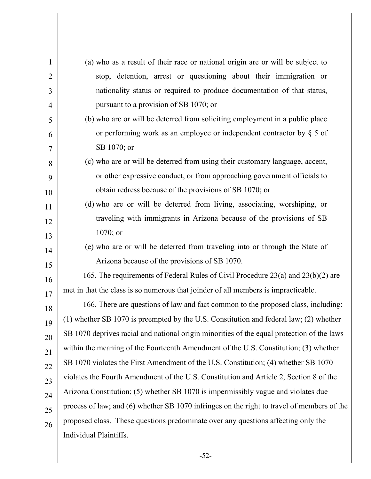| $\mathbf{1}$   | (a) who as a result of their race or national origin are or will be subject to             |
|----------------|--------------------------------------------------------------------------------------------|
| 2              | stop, detention, arrest or questioning about their immigration or                          |
| 3              | nationality status or required to produce documentation of that status,                    |
| 4              | pursuant to a provision of SB 1070; or                                                     |
| 5              | (b) who are or will be deterred from soliciting employment in a public place               |
| 6              | or performing work as an employee or independent contractor by $\S$ 5 of                   |
| $\overline{7}$ | SB 1070; or                                                                                |
| 8              | (c) who are or will be deterred from using their customary language, accent,               |
| 9              | or other expressive conduct, or from approaching government officials to                   |
| 10             | obtain redress because of the provisions of SB 1070; or                                    |
| 11             | (d) who are or will be deterred from living, associating, worshiping, or                   |
| 12             | traveling with immigrants in Arizona because of the provisions of SB                       |
| 13             | $1070;$ or                                                                                 |
| 14             | (e) who are or will be deterred from traveling into or through the State of                |
| 15             | Arizona because of the provisions of SB 1070.                                              |
| 16             | 165. The requirements of Federal Rules of Civil Procedure 23(a) and 23(b)(2) are           |
| 17             | met in that the class is so numerous that joinder of all members is impracticable.         |
| 18             | 166. There are questions of law and fact common to the proposed class, including:          |
| 19             | (1) whether SB 1070 is preempted by the U.S. Constitution and federal law; (2) whether     |
| 20             | SB 1070 deprives racial and national origin minorities of the equal protection of the laws |
| 21             | within the meaning of the Fourteenth Amendment of the U.S. Constitution; (3) whether       |
| 22             | SB 1070 violates the First Amendment of the U.S. Constitution; (4) whether SB 1070         |
| 23             | violates the Fourth Amendment of the U.S. Constitution and Article 2, Section 8 of the     |
| 24             | Arizona Constitution; (5) whether SB 1070 is impermissibly vague and violates due          |
| 25             | process of law; and (6) whether SB 1070 infringes on the right to travel of members of the |
| 26             | proposed class. These questions predominate over any questions affecting only the          |
|                | Individual Plaintiffs.                                                                     |

-52-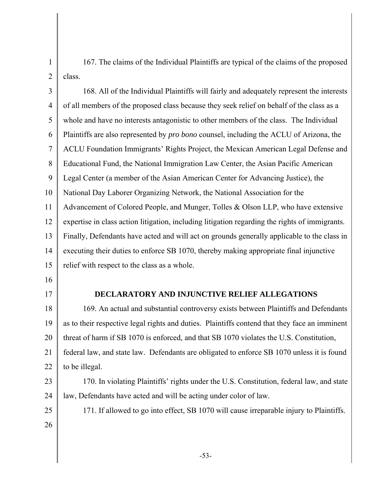1 2 167. The claims of the Individual Plaintiffs are typical of the claims of the proposed class.

3 4 5 6 7 8 9 10 11 12 13 14 15 168. All of the Individual Plaintiffs will fairly and adequately represent the interests of all members of the proposed class because they seek relief on behalf of the class as a whole and have no interests antagonistic to other members of the class. The Individual Plaintiffs are also represented by *pro bono* counsel, including the ACLU of Arizona, the ACLU Foundation Immigrants' Rights Project, the Mexican American Legal Defense and Educational Fund, the National Immigration Law Center, the Asian Pacific American Legal Center (a member of the Asian American Center for Advancing Justice), the National Day Laborer Organizing Network, the National Association for the Advancement of Colored People, and Munger, Tolles & Olson LLP, who have extensive expertise in class action litigation, including litigation regarding the rights of immigrants. Finally, Defendants have acted and will act on grounds generally applicable to the class in executing their duties to enforce SB 1070, thereby making appropriate final injunctive relief with respect to the class as a whole.

- 16
- 17

### **DECLARATORY AND INJUNCTIVE RELIEF ALLEGATIONS**

18 19 20 21 22 169. An actual and substantial controversy exists between Plaintiffs and Defendants as to their respective legal rights and duties. Plaintiffs contend that they face an imminent threat of harm if SB 1070 is enforced, and that SB 1070 violates the U.S. Constitution, federal law, and state law. Defendants are obligated to enforce SB 1070 unless it is found to be illegal.

23 24 170. In violating Plaintiffs' rights under the U.S. Constitution, federal law, and state law, Defendants have acted and will be acting under color of law.

25

171. If allowed to go into effect, SB 1070 will cause irreparable injury to Plaintiffs.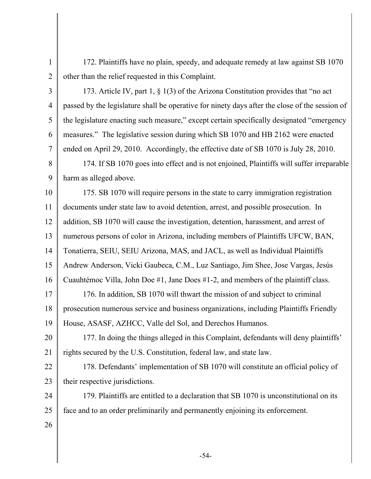172. Plaintiffs have no plain, speedy, and adequate remedy at law against SB 1070 other than the relief requested in this Complaint.

2 3

4

5

6

7

1

173. Article IV, part 1, § 1(3) of the Arizona Constitution provides that "no act passed by the legislature shall be operative for ninety days after the close of the session of the legislature enacting such measure," except certain specifically designated "emergency measures." The legislative session during which SB 1070 and HB 2162 were enacted ended on April 29, 2010. Accordingly, the effective date of SB 1070 is July 28, 2010.

8 9 174. If SB 1070 goes into effect and is not enjoined, Plaintiffs will suffer irreparable harm as alleged above.

10 11 12 13 14 15 16 175. SB 1070 will require persons in the state to carry immigration registration documents under state law to avoid detention, arrest, and possible prosecution. In addition, SB 1070 will cause the investigation, detention, harassment, and arrest of numerous persons of color in Arizona, including members of Plaintiffs UFCW, BAN, Tonatierra, SEIU, SEIU Arizona, MAS, and JACL, as well as Individual Plaintiffs Andrew Anderson, Vicki Gaubeca, C.M., Luz Santiago, Jim Shee, Jose Vargas, Jesús Cuauhtémoc Villa, John Doe #1, Jane Does #1-2, and members of the plaintiff class.

17 18 19 176. In addition, SB 1070 will thwart the mission of and subject to criminal prosecution numerous service and business organizations, including Plaintiffs Friendly House, ASASF, AZHCC, Valle del Sol, and Derechos Humanos.

20 21 177. In doing the things alleged in this Complaint, defendants will deny plaintiffs' rights secured by the U.S. Constitution, federal law, and state law.

22 23 178. Defendants' implementation of SB 1070 will constitute an official policy of their respective jurisdictions.

24 25 179. Plaintiffs are entitled to a declaration that SB 1070 is unconstitutional on its face and to an order preliminarily and permanently enjoining its enforcement.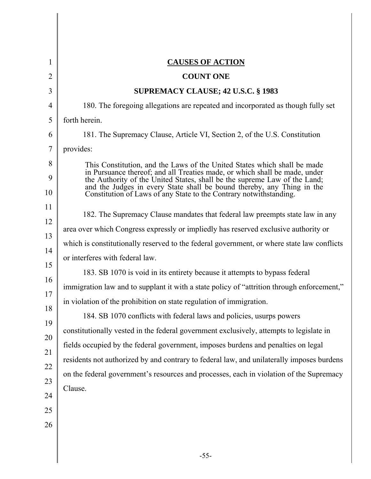| <b>CAUSES OF ACTION</b>                                                                                                                                                                                                                                                                                                                                                                                                                                                                                                                                                                                                                                                                                                                                                                                                                                                                                                                                                                                             |
|---------------------------------------------------------------------------------------------------------------------------------------------------------------------------------------------------------------------------------------------------------------------------------------------------------------------------------------------------------------------------------------------------------------------------------------------------------------------------------------------------------------------------------------------------------------------------------------------------------------------------------------------------------------------------------------------------------------------------------------------------------------------------------------------------------------------------------------------------------------------------------------------------------------------------------------------------------------------------------------------------------------------|
| <b>COUNT ONE</b>                                                                                                                                                                                                                                                                                                                                                                                                                                                                                                                                                                                                                                                                                                                                                                                                                                                                                                                                                                                                    |
| <b>SUPREMACY CLAUSE; 42 U.S.C. § 1983</b>                                                                                                                                                                                                                                                                                                                                                                                                                                                                                                                                                                                                                                                                                                                                                                                                                                                                                                                                                                           |
| 180. The foregoing allegations are repeated and incorporated as though fully set                                                                                                                                                                                                                                                                                                                                                                                                                                                                                                                                                                                                                                                                                                                                                                                                                                                                                                                                    |
| forth herein.                                                                                                                                                                                                                                                                                                                                                                                                                                                                                                                                                                                                                                                                                                                                                                                                                                                                                                                                                                                                       |
| 181. The Supremacy Clause, Article VI, Section 2, of the U.S. Constitution                                                                                                                                                                                                                                                                                                                                                                                                                                                                                                                                                                                                                                                                                                                                                                                                                                                                                                                                          |
| provides:                                                                                                                                                                                                                                                                                                                                                                                                                                                                                                                                                                                                                                                                                                                                                                                                                                                                                                                                                                                                           |
| This Constitution, and the Laws of the United States which shall be made<br>in Pursuance thereof; and all Treaties made, or which shall be made, under<br>the Authority of the United States, shall be the supreme Law of the Land;<br>and the Judges in every State shall be bound thereby, any Thing in the<br>Constitution of Laws of any State to the Contrary notwithstanding.                                                                                                                                                                                                                                                                                                                                                                                                                                                                                                                                                                                                                                 |
| 182. The Supremacy Clause mandates that federal law preempts state law in any<br>area over which Congress expressly or impliedly has reserved exclusive authority or<br>which is constitutionally reserved to the federal government, or where state law conflicts<br>or interferes with federal law.<br>183. SB 1070 is void in its entirety because it attempts to bypass federal<br>immigration law and to supplant it with a state policy of "attrition through enforcement,"<br>in violation of the prohibition on state regulation of immigration.<br>184. SB 1070 conflicts with federal laws and policies, usurps powers<br>constitutionally vested in the federal government exclusively, attempts to legislate in<br>fields occupied by the federal government, imposes burdens and penalties on legal<br>residents not authorized by and contrary to federal law, and unilaterally imposes burdens<br>on the federal government's resources and processes, each in violation of the Supremacy<br>Clause. |
|                                                                                                                                                                                                                                                                                                                                                                                                                                                                                                                                                                                                                                                                                                                                                                                                                                                                                                                                                                                                                     |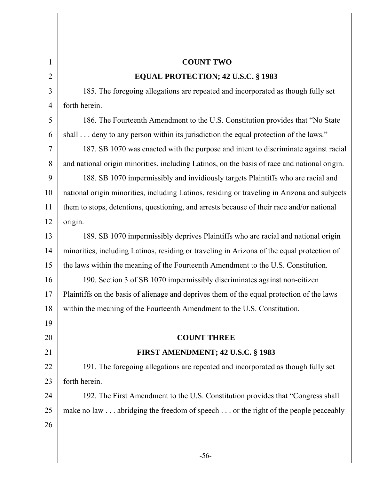| $\mathbf{1}$   | <b>COUNT TWO</b>                                                                             |
|----------------|----------------------------------------------------------------------------------------------|
| $\overline{2}$ | EQUAL PROTECTION; 42 U.S.C. § 1983                                                           |
| 3              | 185. The foregoing allegations are repeated and incorporated as though fully set             |
| $\overline{4}$ | forth herein.                                                                                |
| 5              | 186. The Fourteenth Amendment to the U.S. Constitution provides that "No State"              |
| 6              | shall deny to any person within its jurisdiction the equal protection of the laws."          |
| $\overline{7}$ | 187. SB 1070 was enacted with the purpose and intent to discriminate against racial          |
| 8              | and national origin minorities, including Latinos, on the basis of race and national origin. |
| 9              | 188. SB 1070 impermissibly and invidiously targets Plaintiffs who are racial and             |
| 10             | national origin minorities, including Latinos, residing or traveling in Arizona and subjects |
| 11             | them to stops, detentions, questioning, and arrests because of their race and/or national    |
| 12             | origin.                                                                                      |
| 13             | 189. SB 1070 impermissibly deprives Plaintiffs who are racial and national origin            |
| 14             | minorities, including Latinos, residing or traveling in Arizona of the equal protection of   |
| 15             | the laws within the meaning of the Fourteenth Amendment to the U.S. Constitution.            |
| 16             | 190. Section 3 of SB 1070 impermissibly discriminates against non-citizen                    |
| 17             | Plaintiffs on the basis of alienage and deprives them of the equal protection of the laws    |
| 18             | within the meaning of the Fourteenth Amendment to the U.S. Constitution.                     |
| 19             |                                                                                              |
| 20             | <b>COUNT THREE</b>                                                                           |
| 21             | <b>FIRST AMENDMENT; 42 U.S.C. § 1983</b>                                                     |
| 22             | 191. The foregoing allegations are repeated and incorporated as though fully set             |
| 23             | forth herein.                                                                                |
| 24             | 192. The First Amendment to the U.S. Constitution provides that "Congress shall"             |
| 25             | make no law abridging the freedom of speech or the right of the people peaceably             |
| 26             |                                                                                              |
|                |                                                                                              |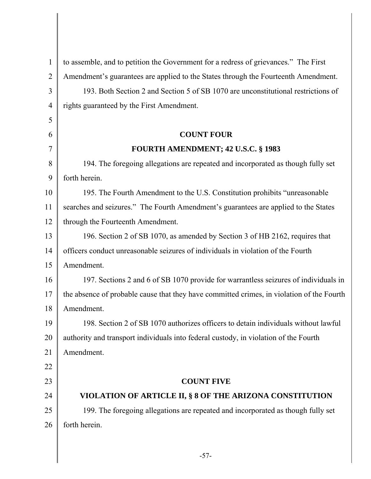| $\mathbf{1}$   | to assemble, and to petition the Government for a redress of grievances." The First       |
|----------------|-------------------------------------------------------------------------------------------|
| $\overline{2}$ | Amendment's guarantees are applied to the States through the Fourteenth Amendment.        |
| 3              | 193. Both Section 2 and Section 5 of SB 1070 are unconstitutional restrictions of         |
| $\overline{4}$ | rights guaranteed by the First Amendment.                                                 |
| 5              |                                                                                           |
| 6              | <b>COUNT FOUR</b>                                                                         |
| $\overline{7}$ | <b>FOURTH AMENDMENT; 42 U.S.C. § 1983</b>                                                 |
| 8              | 194. The foregoing allegations are repeated and incorporated as though fully set          |
| 9              | forth herein.                                                                             |
| 10             | 195. The Fourth Amendment to the U.S. Constitution prohibits "unreasonable"               |
| 11             | searches and seizures." The Fourth Amendment's guarantees are applied to the States       |
| 12             | through the Fourteenth Amendment.                                                         |
| 13             | 196. Section 2 of SB 1070, as amended by Section 3 of HB 2162, requires that              |
| 14             | officers conduct unreasonable seizures of individuals in violation of the Fourth          |
| 15             | Amendment.                                                                                |
| 16             | 197. Sections 2 and 6 of SB 1070 provide for warrantless seizures of individuals in       |
| 17             | the absence of probable cause that they have committed crimes, in violation of the Fourth |
| 18             | Amendment.                                                                                |
| 19             | 198. Section 2 of SB 1070 authorizes officers to detain individuals without lawful        |
| 20             | authority and transport individuals into federal custody, in violation of the Fourth      |
| 21             | Amendment.                                                                                |
| 22             |                                                                                           |
| 23             | <b>COUNT FIVE</b>                                                                         |
| 24             | VIOLATION OF ARTICLE II, § 8 OF THE ARIZONA CONSTITUTION                                  |
| 25             | 199. The foregoing allegations are repeated and incorporated as though fully set          |
| 26             | forth herein.                                                                             |
|                |                                                                                           |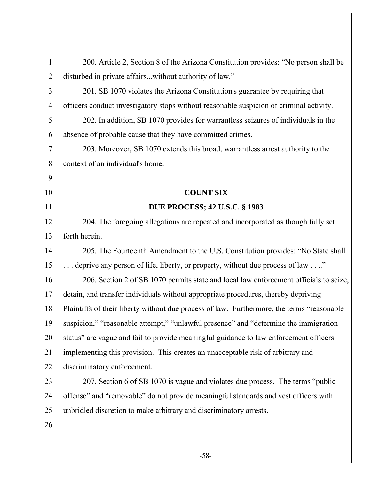| $\mathbf{1}$   | 200. Article 2, Section 8 of the Arizona Constitution provides: "No person shall be         |
|----------------|---------------------------------------------------------------------------------------------|
| $\overline{2}$ | disturbed in private affairswithout authority of law."                                      |
| 3              | 201. SB 1070 violates the Arizona Constitution's guarantee by requiring that                |
| $\overline{4}$ | officers conduct investigatory stops without reasonable suspicion of criminal activity.     |
| 5              | 202. In addition, SB 1070 provides for warrantless seizures of individuals in the           |
| 6              | absence of probable cause that they have committed crimes.                                  |
| $\overline{7}$ | 203. Moreover, SB 1070 extends this broad, warrantless arrest authority to the              |
| 8              | context of an individual's home.                                                            |
| 9              |                                                                                             |
| 10             | <b>COUNT SIX</b>                                                                            |
| 11             | <b>DUE PROCESS; 42 U.S.C. § 1983</b>                                                        |
| 12             | 204. The foregoing allegations are repeated and incorporated as though fully set            |
| 13             | forth herein.                                                                               |
| 14             | 205. The Fourteenth Amendment to the U.S. Constitution provides: "No State shall            |
| 15             | deprive any person of life, liberty, or property, without due process of law "              |
| 16             | 206. Section 2 of SB 1070 permits state and local law enforcement officials to seize,       |
| 17             | detain, and transfer individuals without appropriate procedures, thereby depriving          |
| 18             | Plaintiffs of their liberty without due process of law. Furthermore, the terms "reasonable" |
| 19             | suspicion," "reasonable attempt," "unlawful presence" and "determine the immigration        |
| 20             | status" are vague and fail to provide meaningful guidance to law enforcement officers       |
| 21             | implementing this provision. This creates an unacceptable risk of arbitrary and             |
| 22             | discriminatory enforcement.                                                                 |
| 23             | 207. Section 6 of SB 1070 is vague and violates due process. The terms "public              |
| 24             | offense" and "removable" do not provide meaningful standards and vest officers with         |
| 25             | unbridled discretion to make arbitrary and discriminatory arrests.                          |
| 26             |                                                                                             |
|                |                                                                                             |

-58-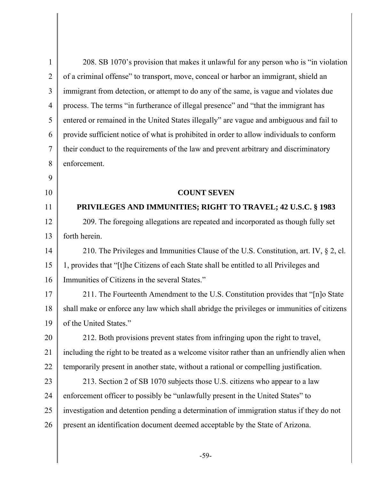| $\mathbf{1}$   | 208. SB 1070's provision that makes it unlawful for any person who is "in violation"        |  |  |  |
|----------------|---------------------------------------------------------------------------------------------|--|--|--|
| $\overline{2}$ | of a criminal offense" to transport, move, conceal or harbor an immigrant, shield an        |  |  |  |
| 3              | immigrant from detection, or attempt to do any of the same, is vague and violates due       |  |  |  |
| $\overline{4}$ | process. The terms "in furtherance of illegal presence" and "that the immigrant has         |  |  |  |
| 5              | entered or remained in the United States illegally" are vague and ambiguous and fail to     |  |  |  |
| 6              | provide sufficient notice of what is prohibited in order to allow individuals to conform    |  |  |  |
| $\tau$         | their conduct to the requirements of the law and prevent arbitrary and discriminatory       |  |  |  |
| 8              | enforcement.                                                                                |  |  |  |
| 9              |                                                                                             |  |  |  |
| 10             | <b>COUNT SEVEN</b>                                                                          |  |  |  |
| 11             | PRIVILEGES AND IMMUNITIES; RIGHT TO TRAVEL; 42 U.S.C. § 1983                                |  |  |  |
| 12             | 209. The foregoing allegations are repeated and incorporated as though fully set            |  |  |  |
| 13             | forth herein.                                                                               |  |  |  |
| 14             | 210. The Privileges and Immunities Clause of the U.S. Constitution, art. IV, § 2, cl.       |  |  |  |
| 15             | 1, provides that "[t]he Citizens of each State shall be entitled to all Privileges and      |  |  |  |
| 16             | Immunities of Citizens in the several States."                                              |  |  |  |
| 17             | 211. The Fourteenth Amendment to the U.S. Constitution provides that "[n]o State            |  |  |  |
| 18             | shall make or enforce any law which shall abridge the privileges or immunities of citizens  |  |  |  |
| 19             | of the United States."                                                                      |  |  |  |
| 20             | 212. Both provisions prevent states from infringing upon the right to travel,               |  |  |  |
| 21             | including the right to be treated as a welcome visitor rather than an unfriendly alien when |  |  |  |
| 22             | temporarily present in another state, without a rational or compelling justification.       |  |  |  |
| 23             | 213. Section 2 of SB 1070 subjects those U.S. citizens who appear to a law                  |  |  |  |
| 24             | enforcement officer to possibly be "unlawfully present in the United States" to             |  |  |  |
| 25             | investigation and detention pending a determination of immigration status if they do not    |  |  |  |
| 26             | present an identification document deemed acceptable by the State of Arizona.               |  |  |  |
|                |                                                                                             |  |  |  |

-59-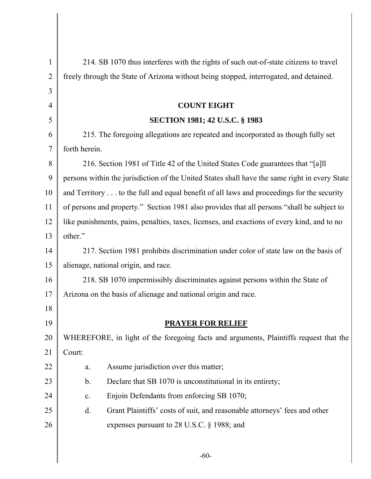| $\mathbf{1}$   | 214. SB 1070 thus interferes with the rights of such out-of-state citizens to travel          |  |  |  |  |
|----------------|-----------------------------------------------------------------------------------------------|--|--|--|--|
| $\overline{2}$ | freely through the State of Arizona without being stopped, interrogated, and detained.        |  |  |  |  |
| 3              |                                                                                               |  |  |  |  |
| $\overline{4}$ | <b>COUNT EIGHT</b>                                                                            |  |  |  |  |
| 5              | <b>SECTION 1981; 42 U.S.C. § 1983</b>                                                         |  |  |  |  |
| 6              | 215. The foregoing allegations are repeated and incorporated as though fully set              |  |  |  |  |
| 7              | forth herein.                                                                                 |  |  |  |  |
| 8              | 216. Section 1981 of Title 42 of the United States Code guarantees that "[a]ll                |  |  |  |  |
| 9              | persons within the jurisdiction of the United States shall have the same right in every State |  |  |  |  |
| 10             | and Territory to the full and equal benefit of all laws and proceedings for the security      |  |  |  |  |
| 11             | of persons and property." Section 1981 also provides that all persons "shall be subject to    |  |  |  |  |
| 12             | like punishments, pains, penalties, taxes, licenses, and exactions of every kind, and to no   |  |  |  |  |
| 13             | other."                                                                                       |  |  |  |  |
| 14             | 217. Section 1981 prohibits discrimination under color of state law on the basis of           |  |  |  |  |
| 15             | alienage, national origin, and race.                                                          |  |  |  |  |
| 16             | 218. SB 1070 impermissibly discriminates against persons within the State of                  |  |  |  |  |
| 17             | Arizona on the basis of alienage and national origin and race.                                |  |  |  |  |
| 18             |                                                                                               |  |  |  |  |
| 19             | <b>PRAYER FOR RELIEF</b>                                                                      |  |  |  |  |
| 20             | WHEREFORE, in light of the foregoing facts and arguments, Plaintiffs request that the         |  |  |  |  |
| 21             | Court:                                                                                        |  |  |  |  |
| 22             | Assume jurisdiction over this matter;<br>a.                                                   |  |  |  |  |
| 23             | Declare that SB 1070 is unconstitutional in its entirety;<br>$\mathbf b$ .                    |  |  |  |  |
| 24             | Enjoin Defendants from enforcing SB 1070;<br>$\mathbf{C}$ .                                   |  |  |  |  |
| 25             | Grant Plaintiffs' costs of suit, and reasonable attorneys' fees and other<br>$\mathbf{d}$ .   |  |  |  |  |
| 26             | expenses pursuant to 28 U.S.C. § 1988; and                                                    |  |  |  |  |
|                |                                                                                               |  |  |  |  |

-60-